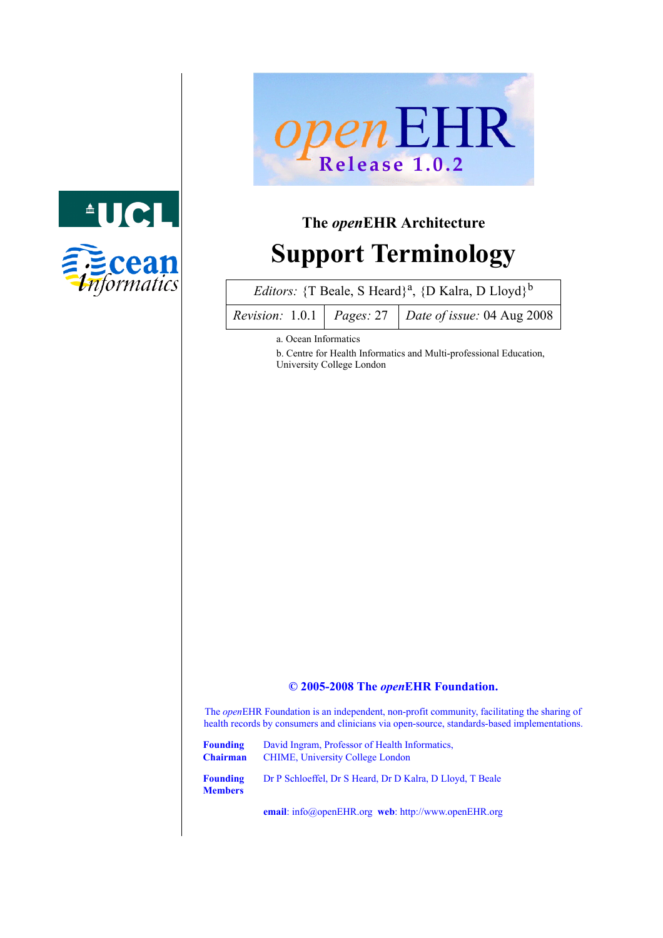



# <span id="page-0-5"></span>**The** *open***EHR Architecture Support Terminology**

<span id="page-0-3"></span><span id="page-0-0"></span>

| <i>Editors:</i> {T Beale, S Heard} <sup>a</sup> , {D Kalra, D Lloyd} <sup>b</sup> |  |                                                                               |  |
|-----------------------------------------------------------------------------------|--|-------------------------------------------------------------------------------|--|
|                                                                                   |  | <i>Revision:</i> 1.0.1   <i>Pages:</i> 27   <i>Date of issue:</i> 04 Aug 2008 |  |

<span id="page-0-4"></span>a. Ocean Informatics

b. Centre for Health Informatics and Multi-professional Education, University College London

#### **© 2005-2008 The** *open***EHR Foundation.**

<span id="page-0-1"></span>The *open*EHR Foundation is an independent, non-profit community, facilitating the sharing of health records by consumers and clinicians via open-source, standards-based implementations.

**Founding Chairman** David Ingram, Professor of Health Informatics, CHIME, University College London

**Founding Members**

<span id="page-0-2"></span>**email**: info@openEHR.org **web**[: http://www.openEHR.org](http://www.openEHR.org)

Dr P Schloeffel, Dr S Heard, Dr D Kalra, D Lloyd, T Beale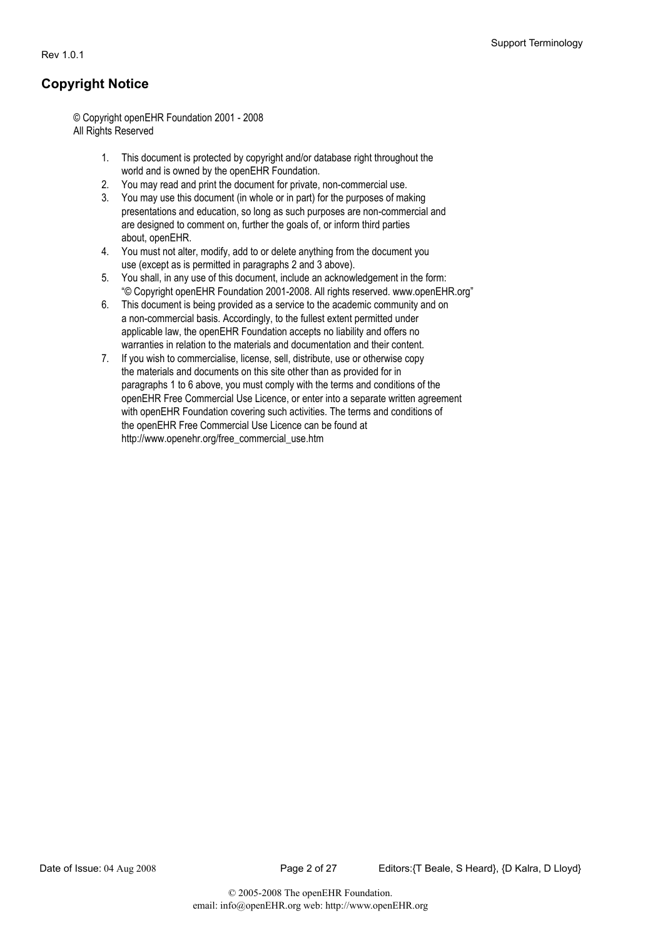#### **Copyright Notice**

© Copyright openEHR Foundation 2001 - 2008 All Rights Reserved

- 1. This document is protected by copyright and/or database right throughout the world and is owned by the openEHR Foundation.
- 2. You may read and print the document for private, non-commercial use.
- 3. You may use this document (in whole or in part) for the purposes of making presentations and education, so long as such purposes are non-commercial and are designed to comment on, further the goals of, or inform third parties about, openEHR.
- 4. You must not alter, modify, add to or delete anything from the document you use (except as is permitted in paragraphs 2 and 3 above).
- 5. You shall, in any use of this document, include an acknowledgement in the form: "© Copyright openEHR Foundation 2001-2008. All rights reserved. www.openEHR.org"
- 6. This document is being provided as a service to the academic community and on a non-commercial basis. Accordingly, to the fullest extent permitted under applicable law, the openEHR Foundation accepts no liability and offers no warranties in relation to the materials and documentation and their content.
- 7. If you wish to commercialise, license, sell, distribute, use or otherwise copy the materials and documents on this site other than as provided for in paragraphs 1 to 6 above, you must comply with the terms and conditions of the openEHR Free Commercial Use Licence, or enter into a separate written agreement with openEHR Foundation covering such activities. The terms and conditions of the openEHR Free Commercial Use Licence can be found at http://www.openehr.org/free\_commercial\_use.htm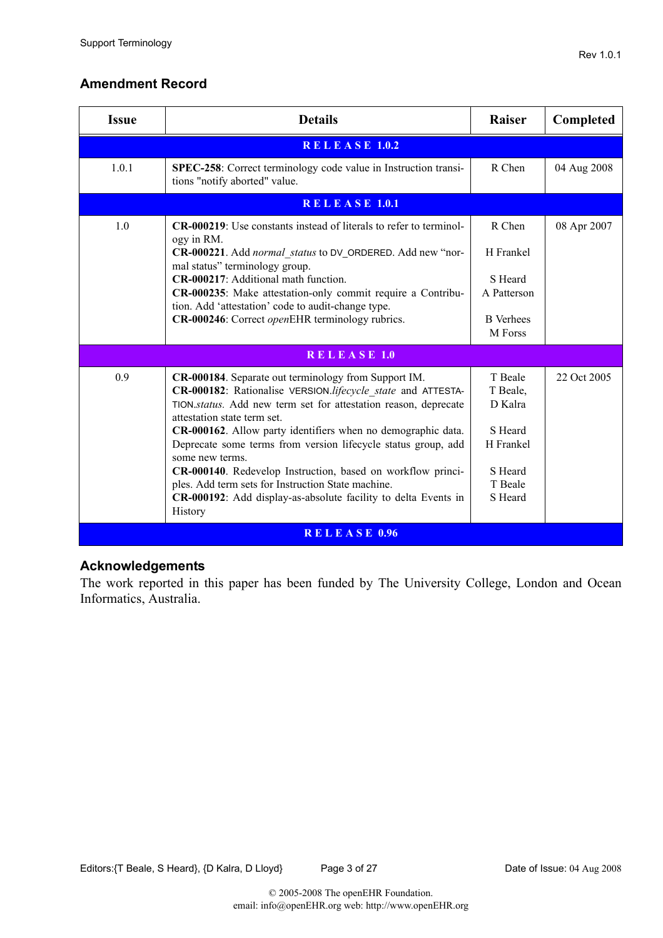#### **Amendment Record**

<span id="page-2-3"></span><span id="page-2-2"></span><span id="page-2-1"></span><span id="page-2-0"></span>

| <b>Issue</b> | <b>Details</b>                                                                                                                                                                                                        | <b>Raiser</b>                  | Completed   |  |  |
|--------------|-----------------------------------------------------------------------------------------------------------------------------------------------------------------------------------------------------------------------|--------------------------------|-------------|--|--|
|              | RELEASE 1.0.2                                                                                                                                                                                                         |                                |             |  |  |
| 1.0.1        | SPEC-258: Correct terminology code value in Instruction transi-<br>tions "notify aborted" value.                                                                                                                      | R Chen                         | 04 Aug 2008 |  |  |
|              | RELEASE 1.0.1                                                                                                                                                                                                         |                                |             |  |  |
| 1.0          | <b>CR-000219</b> : Use constants instead of literals to refer to terminol-<br>ogy in RM.                                                                                                                              | R Chen                         | 08 Apr 2007 |  |  |
|              | CR-000221. Add normal status to DV_ORDERED. Add new "nor-<br>mal status" terminology group.                                                                                                                           | H Frankel                      |             |  |  |
|              | <b>CR-000217:</b> Additional math function.<br>CR-000235: Make attestation-only commit require a Contribu-                                                                                                            | S Heard<br>A Patterson         |             |  |  |
|              | tion. Add 'attestation' code to audit-change type.<br>CR-000246: Correct openEHR terminology rubrics.                                                                                                                 | <b>B</b> Verhees<br>M Forss    |             |  |  |
|              | RELEASE 1.0                                                                                                                                                                                                           |                                |             |  |  |
| 0.9          | CR-000184. Separate out terminology from Support IM.<br>CR-000182: Rationalise VERSION.lifecycle state and ATTESTA-<br>TION.status. Add new term set for attestation reason, deprecate<br>attestation state term set. | T Beale<br>T Beale,<br>D Kalra | 22 Oct 2005 |  |  |
|              | CR-000162. Allow party identifiers when no demographic data.<br>Deprecate some terms from version lifecycle status group, add<br>some new terms.                                                                      | S Heard<br>H Frankel           |             |  |  |
|              | CR-000140. Redevelop Instruction, based on workflow princi-<br>ples. Add term sets for Instruction State machine.                                                                                                     | S Heard<br>T Beale             |             |  |  |
|              | CR-000192: Add display-as-absolute facility to delta Events in<br>History                                                                                                                                             | S Heard                        |             |  |  |
|              | RELEASE 0.96                                                                                                                                                                                                          |                                |             |  |  |

#### **Acknowledgements**

The work reported in this paper has been funded by The University College, London and Ocean Informatics, Australia.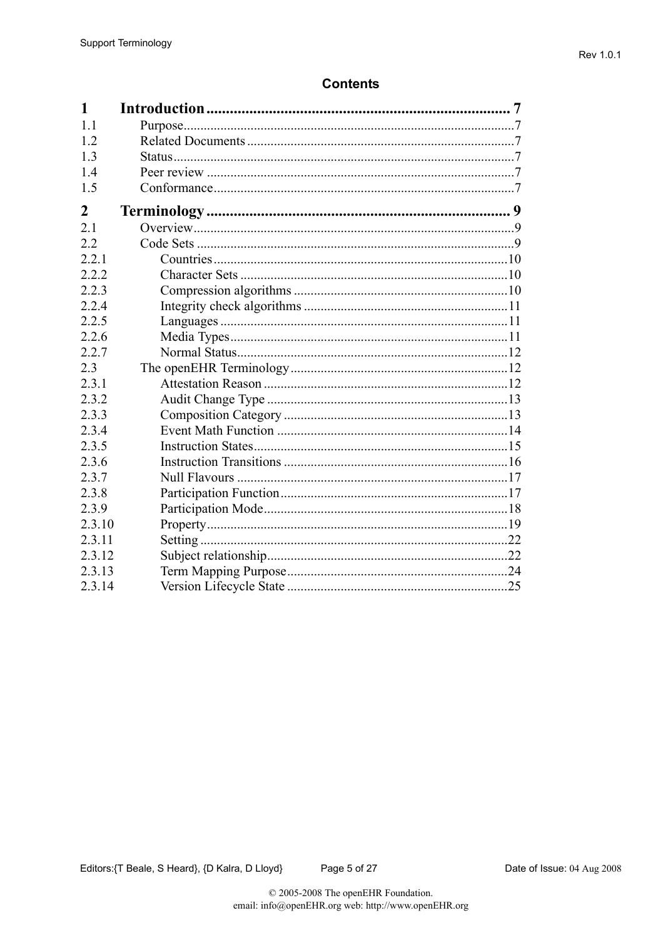#### **Contents**

| 1              |  |
|----------------|--|
| 1.1            |  |
| 1.2            |  |
| 1.3            |  |
| 1.4            |  |
| 1.5            |  |
| $\overline{2}$ |  |
| 2.1            |  |
| 2.2            |  |
| 2.2.1          |  |
| 2.2.2          |  |
| 2.2.3          |  |
| 2.2.4          |  |
| 2.2.5          |  |
| 2.2.6          |  |
| 2.2.7          |  |
| 2.3            |  |
| 2.3.1          |  |
| 2.3.2          |  |
| 2.3.3          |  |
| 2.3.4          |  |
| 2.3.5          |  |
| 2.3.6          |  |
| 2.3.7          |  |
| 2.3.8          |  |
| 2.3.9          |  |
| 2.3.10         |  |
| 2.3.11         |  |
| 2.3.12         |  |
| 2.3.13         |  |
| 2.3.14         |  |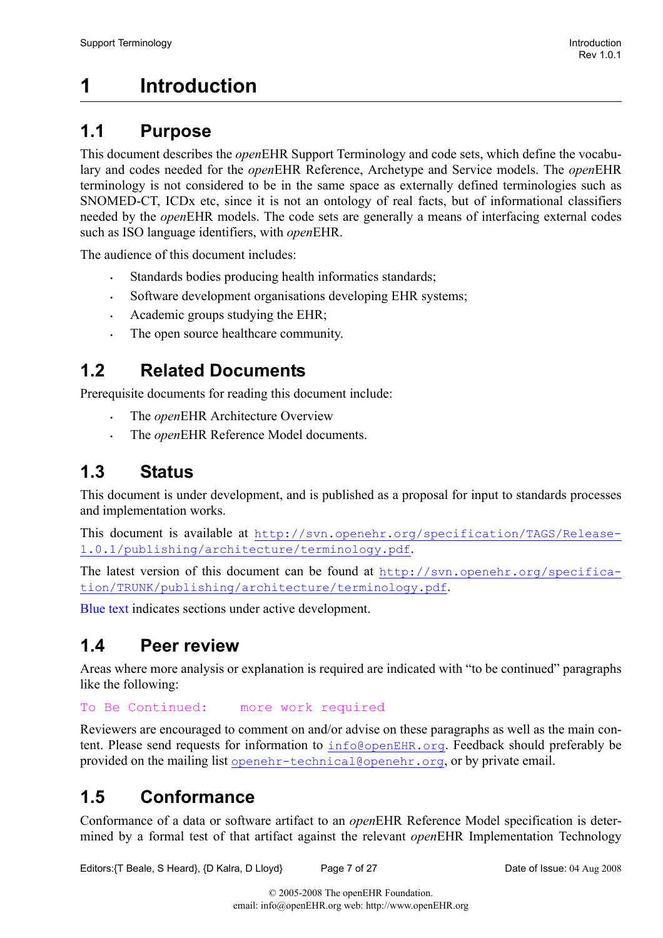# <span id="page-6-0"></span>**1 Introduction**

## <span id="page-6-1"></span>**1.1 Purpose**

This document describes the *open*EHR Support Terminology and code sets, which define the vocabulary and codes needed for the *open*EHR Reference, Archetype and Service models. The *open*EHR terminology is not considered to be in the same space as externally defined terminologies such as SNOMED-CT, ICDx etc, since it is not an ontology of real facts, but of informational classifiers needed by the *open*EHR models. The code sets are generally a means of interfacing external codes such as ISO language identifiers, with *open*EHR.

The audience of this document includes:

- Standards bodies producing health informatics standards;
- Software development organisations developing EHR systems;
- Academic groups studying the EHR;
- The open source healthcare community.

# <span id="page-6-2"></span>**1.2 Related Documents**

Prerequisite documents for reading this document include:

- The *open*EHR Architecture Overview
- The *open*EHR Reference Model documents.

## <span id="page-6-3"></span>**1.3 Status**

This document is under development, and is published as a proposal for input to standards processes and implementation works.

This document is available at [http://svn.openehr.org/specification/TAGS/Release-](http://svn.openehr.org/specification/TAGS/Release-1.0.1/publishing/architecture/terminology.pdf)[1.0.1/publishing/architecture/terminology.pdf](http://svn.openehr.org/specification/TAGS/Release-1.0.1/publishing/architecture/terminology.pdf).

The latest version of this document can be found at [http://svn.openehr.org/specifica](http://svn.openehr.org/specification/TRUNK/publishing/architecture/terminology.pdf)[tion/TRUNK/publishing/architecture/terminology.pdf](http://svn.openehr.org/specification/TRUNK/publishing/architecture/terminology.pdf).

Blue text indicates sections under active development.

## <span id="page-6-4"></span>**1.4 Peer review**

Areas where more analysis or explanation is required are indicated with "to be continued" paragraphs like the following:

To Be Continued: more work required

Reviewers are encouraged to comment on and/or advise on these paragraphs as well as the main content. Please send requests for information to [info@openEHR.org](mailto:info@gehr.org). Feedback should preferably be provided on the mailing list [openehr-technical@openehr.org](mailto:openehr-technical@openehr.org), or by private email.

# <span id="page-6-5"></span>**1.5 Conformance**

Conformance of a data or software artifact to an *open*EHR Reference Model specification is determined by a formal test of that artifact against the relevant *open*EHR Implementation Technology

[Editors:{T Beale, S Heard}, {D Kalra, D Lloyd}](#page-0-4) Page 7 of [27](#page-26-0) Date of Issue: [04 Aug 2008](#page-2-2)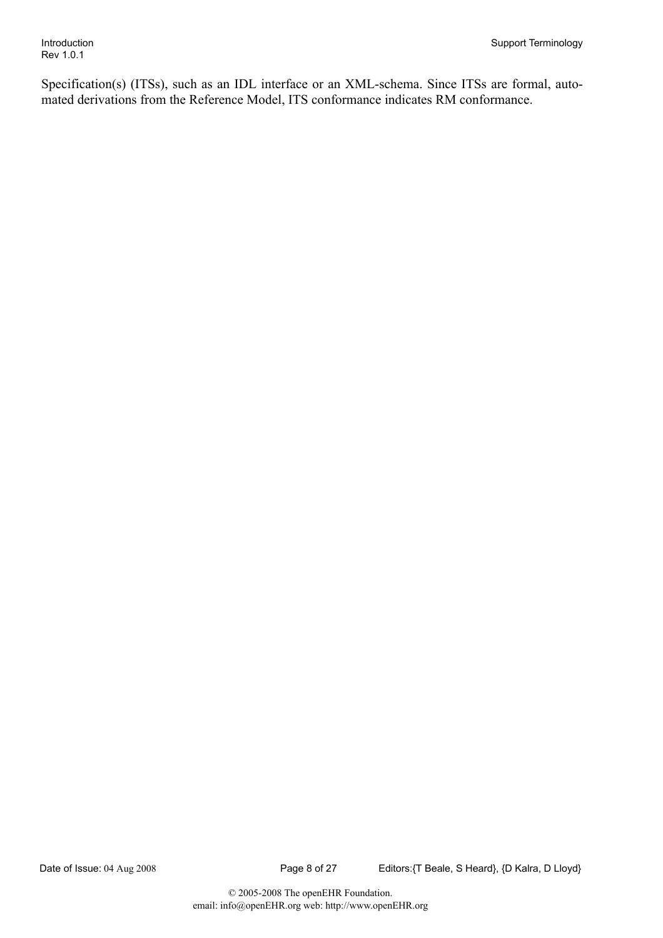Rev [1.0.1](#page-2-3)

Specification(s) (ITSs), such as an IDL interface or an XML-schema. Since ITSs are formal, automated derivations from the Reference Model, ITS conformance indicates RM conformance.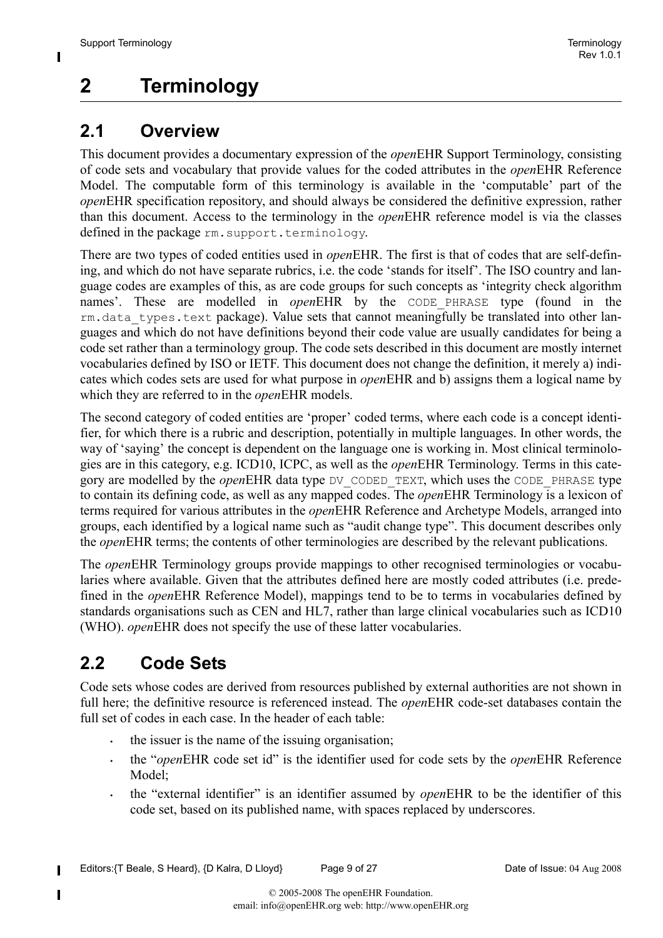# <span id="page-8-0"></span>**2 Terminology**

### <span id="page-8-1"></span>**2.1 Overview**

This document provides a documentary expression of the *open*EHR Support Terminology, consisting of code sets and vocabulary that provide values for the coded attributes in the *open*EHR Reference Model. The computable form of this terminology is available in the 'computable' part of the *open*EHR specification repository, and should always be considered the definitive expression, rather than this document. Access to the terminology in the *open*EHR reference model is via the classes defined in the package rm. support. terminology.

There are two types of coded entities used in *open*EHR. The first is that of codes that are self-defining, and which do not have separate rubrics, i.e. the code 'stands for itself'. The ISO country and language codes are examples of this, as are code groups for such concepts as 'integrity check algorithm names'. These are modelled in *open*EHR by the CODE\_PHRASE type (found in the rm.data\_types.text package). Value sets that cannot meaningfully be translated into other languages and which do not have definitions beyond their code value are usually candidates for being a code set rather than a terminology group. The code sets described in this document are mostly internet vocabularies defined by ISO or IETF. This document does not change the definition, it merely a) indicates which codes sets are used for what purpose in *open*EHR and b) assigns them a logical name by which they are referred to in the *open*EHR models.

The second category of coded entities are 'proper' coded terms, where each code is a concept identifier, for which there is a rubric and description, potentially in multiple languages. In other words, the way of 'saying' the concept is dependent on the language one is working in. Most clinical terminologies are in this category, e.g. ICD10, ICPC, as well as the *open*EHR Terminology. Terms in this category are modelled by the *open*EHR data type DV\_CODED\_TEXT, which uses the CODE\_PHRASE type to contain its defining code, as well as any mapped codes. The *open*EHR Terminology is a lexicon of terms required for various attributes in the *open*EHR Reference and Archetype Models, arranged into groups, each identified by a logical name such as "audit change type". This document describes only the *open*EHR terms; the contents of other terminologies are described by the relevant publications.

The *open*EHR Terminology groups provide mappings to other recognised terminologies or vocabularies where available. Given that the attributes defined here are mostly coded attributes (i.e. predefined in the *open*EHR Reference Model), mappings tend to be to terms in vocabularies defined by standards organisations such as CEN and HL7, rather than large clinical vocabularies such as ICD10 (WHO). *open*EHR does not specify the use of these latter vocabularies.

# <span id="page-8-2"></span>**2.2 Code Sets**

Code sets whose codes are derived from resources published by external authorities are not shown in full here; the definitive resource is referenced instead. The *open*EHR code-set databases contain the full set of codes in each case. In the header of each table:

- the issuer is the name of the issuing organisation;
- the "*open*EHR code set id" is the identifier used for code sets by the *open*EHR Reference Model;
- the "external identifier" is an identifier assumed by *open*EHR to be the identifier of this code set, based on its published name, with spaces replaced by underscores.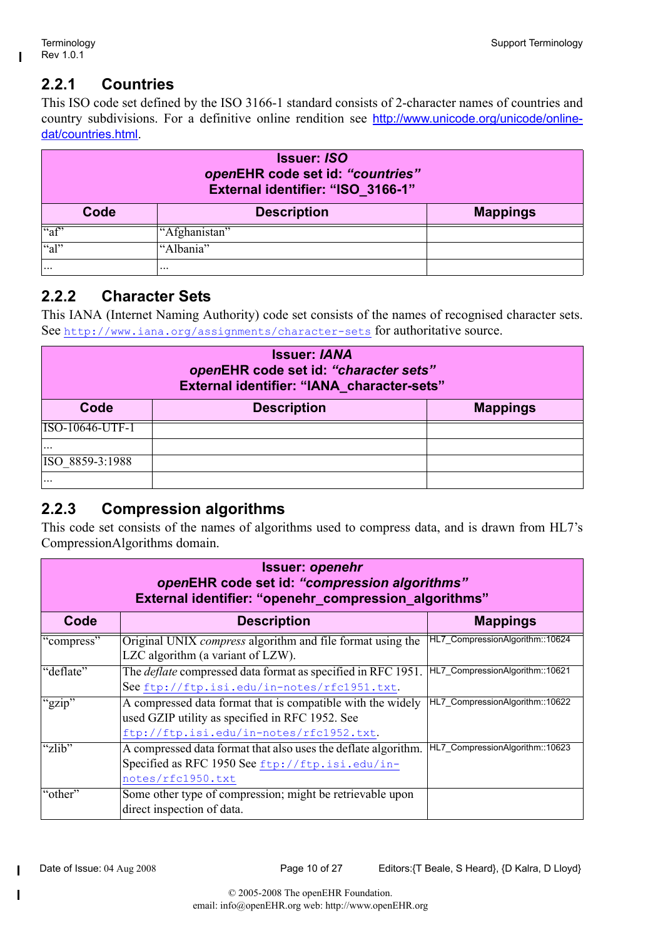#### <span id="page-9-0"></span>**2.2.1 Countries**

This ISO code set defined by the ISO 3166-1 standard consists of 2-character names of countries and country subdivisions. For a definitive online rendition see [http://www.unicode.org/unicode/online](http://www.unicode.org/unicode/onlinedat/countries.html)[dat/countries.html](http://www.unicode.org/unicode/onlinedat/countries.html).

| <b>Issuer: ISO</b><br>openEHR code set id: "countries"<br>External identifier: "ISO_3166-1" |                                       |  |  |
|---------------------------------------------------------------------------------------------|---------------------------------------|--|--|
| Code                                                                                        | <b>Description</b><br><b>Mappings</b> |  |  |
| $\alpha$ af $\alpha$                                                                        | "Afghanistan"                         |  |  |
| "al"                                                                                        | "Albania"                             |  |  |
| $\cdots$                                                                                    | $\cdots$                              |  |  |

#### <span id="page-9-1"></span>**2.2.2 Character Sets**

This IANA (Internet Naming Authority) code set consists of the names of recognised character sets. See <http://www.iana.org/assignments/character-sets> for authoritative source.

| <b>Issuer: IANA</b><br>openEHR code set id: "character sets"<br>External identifier: "IANA character-sets" |  |  |  |
|------------------------------------------------------------------------------------------------------------|--|--|--|
| Code<br><b>Description</b><br><b>Mappings</b>                                                              |  |  |  |
| $ISO-10646-UIF-1$                                                                                          |  |  |  |
| $\cdots$                                                                                                   |  |  |  |
| ISO 8859-3:1988                                                                                            |  |  |  |
| .                                                                                                          |  |  |  |

#### <span id="page-9-2"></span>**2.2.3 Compression algorithms**

This code set consists of the names of algorithms used to compress data, and is drawn from HL7's CompressionAlgorithms domain.

| <b>Issuer: openehr</b><br>openEHR code set id: "compression algorithms"<br>External identifier: "openehr_compression_algorithms" |                                                                                                                                                           |                                 |  |
|----------------------------------------------------------------------------------------------------------------------------------|-----------------------------------------------------------------------------------------------------------------------------------------------------------|---------------------------------|--|
| Code                                                                                                                             | <b>Description</b>                                                                                                                                        | <b>Mappings</b>                 |  |
| "compress"                                                                                                                       | Original UNIX compress algorithm and file format using the<br>LZC algorithm (a variant of LZW).                                                           | HL7 CompressionAlgorithm::10624 |  |
| "deflate"                                                                                                                        | The <i>deflate</i> compressed data format as specified in RFC 1951.<br>See ftp://ftp.isi.edu/in-notes/rfc1951.txt.                                        | HL7 CompressionAlgorithm::10621 |  |
| "gzip"                                                                                                                           | A compressed data format that is compatible with the widely<br>used GZIP utility as specified in RFC 1952. See<br>ftp://ftp.isi.edu/in-notes/rfc1952.txt. | HL7 CompressionAlgorithm::10622 |  |
| "zlib"                                                                                                                           | A compressed data format that also uses the deflate algorithm.<br>Specified as RFC 1950 See ftp://ftp.isi.edu/in-<br>notes/rfc1950.txt                    | HL7 CompressionAlgorithm::10623 |  |
| "other"                                                                                                                          | Some other type of compression; might be retrievable upon<br>direct inspection of data.                                                                   |                                 |  |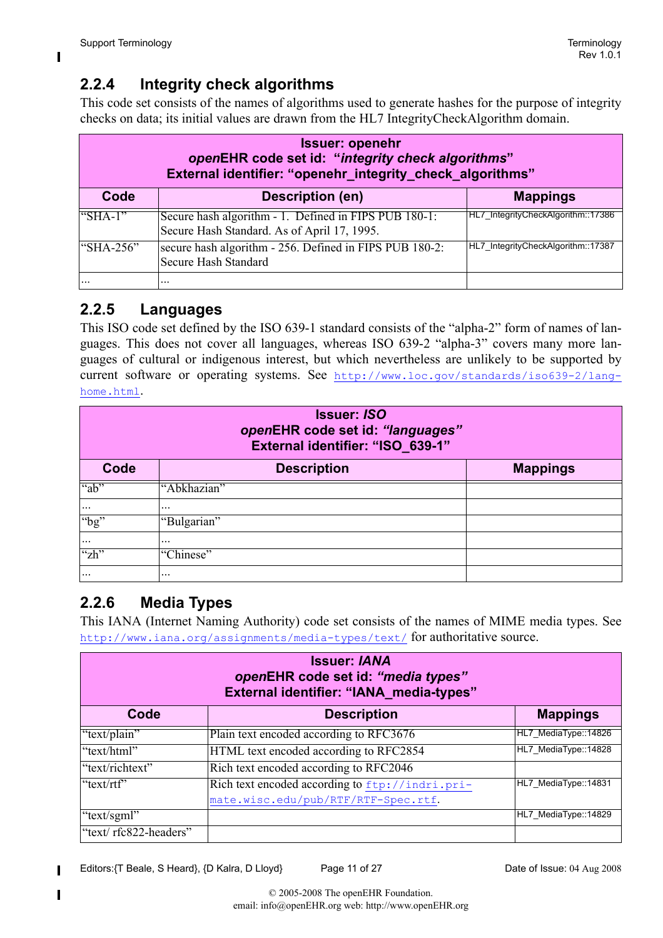## <span id="page-10-0"></span>**2.2.4 Integrity check algorithms**

This code set consists of the names of algorithms used to generate hashes for the purpose of integrity checks on data; its initial values are drawn from the HL7 IntegrityCheckAlgorithm domain.

| <b>Issuer: openehr</b><br>openEHR code set id: "integrity check algorithms"<br>External identifier: "openehr_integrity_check_algorithms" |                                                                                                      |                                    |  |
|------------------------------------------------------------------------------------------------------------------------------------------|------------------------------------------------------------------------------------------------------|------------------------------------|--|
| Code                                                                                                                                     | Description (en)<br><b>Mappings</b>                                                                  |                                    |  |
| "SHA-1"                                                                                                                                  | Secure hash algorithm - 1. Defined in FIPS PUB 180-1:<br>Secure Hash Standard. As of April 17, 1995. | HL7 IntegrityCheckAlgorithm::17386 |  |
| "SHA-256"                                                                                                                                | secure hash algorithm - 256. Defined in FIPS PUB 180-2:<br><b>Secure Hash Standard</b>               | HL7 IntegrityCheckAlgorithm::17387 |  |
|                                                                                                                                          | $\cdots$                                                                                             |                                    |  |

#### <span id="page-10-1"></span>**2.2.5 Languages**

This ISO code set defined by the ISO 639-1 standard consists of the "alpha-2" form of names of languages. This does not cover all languages, whereas ISO 639-2 "alpha-3" covers many more languages of cultural or indigenous interest, but which nevertheless are unlikely to be supported by current software or operating systems. See http://www.loc.gov/standards/iso639-2/langhome.html.

| <b>Issuer: ISO</b><br>openEHR code set id: "languages"<br>External identifier: "ISO_639-1" |                    |                 |  |
|--------------------------------------------------------------------------------------------|--------------------|-----------------|--|
| Code                                                                                       | <b>Description</b> | <b>Mappings</b> |  |
| "ab"                                                                                       | "Abkhazian"        |                 |  |
| $\cdots$                                                                                   | $\cdots$           |                 |  |
| "bg"                                                                                       | "Bulgarian"        |                 |  |
| $\cdots$                                                                                   | $\cdots$           |                 |  |
| "zh"                                                                                       | "Chinese"          |                 |  |
| $\cdot \cdot \cdot$                                                                        | $\cdots$           |                 |  |

#### <span id="page-10-2"></span>**2.2.6 Media Types**

This IANA (Internet Naming Authority) code set consists of the names of MIME media types. See <http://www.iana.org/assignments/media-types/text/> for authoritative source.

| <b>Issuer: IANA</b><br>openEHR code set id: "media types"<br>External identifier: "IANA_media-types" |                                                                                        |                      |  |
|------------------------------------------------------------------------------------------------------|----------------------------------------------------------------------------------------|----------------------|--|
| Code                                                                                                 | <b>Description</b>                                                                     | <b>Mappings</b>      |  |
| "text/plain"                                                                                         | Plain text encoded according to RFC3676                                                | HL7 MediaType::14826 |  |
| "text/html"                                                                                          | HTML text encoded according to RFC2854                                                 | HL7 MediaType::14828 |  |
| "text/richtext"                                                                                      | Rich text encoded according to RFC2046                                                 |                      |  |
| "text/rtf"                                                                                           | Rich text encoded according to ftp://indri.pri-<br>mate.wisc.edu/pub/RTF/RTF-Spec.rtf. | HL7 MediaType::14831 |  |
| "text/sgml"                                                                                          |                                                                                        | HL7 MediaType::14829 |  |
| "text/rfc822-headers"                                                                                |                                                                                        |                      |  |

[Editors:{T Beale, S Heard}, {D Kalra, D Lloyd}](#page-0-4) Page 11 o[f 27](#page-26-0) Date of Issue: [04 Aug 2008](#page-2-2)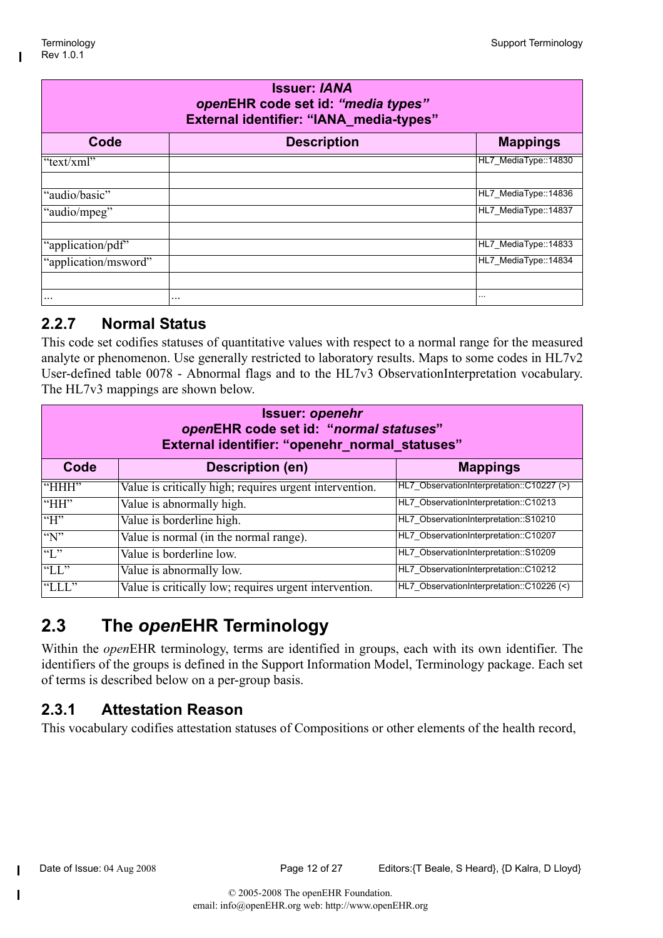| <b>Issuer: IANA</b><br>openEHR code set id: "media types"<br>External identifier: "IANA_media-types" |                    |                      |
|------------------------------------------------------------------------------------------------------|--------------------|----------------------|
| Code                                                                                                 | <b>Description</b> | <b>Mappings</b>      |
| "text/xml"                                                                                           |                    | HL7_MediaType::14830 |
|                                                                                                      |                    |                      |
| "audio/basic"                                                                                        |                    | HL7_MediaType::14836 |
| "audio/mpeg"                                                                                         |                    | HL7_MediaType::14837 |
|                                                                                                      |                    |                      |
| "application/pdf"                                                                                    |                    | HL7_MediaType::14833 |
| "application/msword"                                                                                 |                    | HL7_MediaType::14834 |
|                                                                                                      |                    |                      |
| $\cdots$                                                                                             | .                  | $\cdots$             |

#### <span id="page-11-0"></span>**2.2.7 Normal Status**

This code set codifies statuses of quantitative values with respect to a normal range for the measured analyte or phenomenon. Use generally restricted to laboratory results. Maps to some codes in HL7v2 User-defined table 0078 - Abnormal flags and to the HL7v3 ObservationInterpretation vocabulary. The HL7v3 mappings are shown below.

| <b>Issuer: openehr</b><br>openEHR code set id: "normal statuses"<br>External identifier: "openehr_normal_statuses" |                                                                                                      |                                           |  |
|--------------------------------------------------------------------------------------------------------------------|------------------------------------------------------------------------------------------------------|-------------------------------------------|--|
| Code                                                                                                               | Description (en)<br><b>Mappings</b>                                                                  |                                           |  |
| "HHH"                                                                                                              | Value is critically high; requires urgent intervention.                                              | HL7 ObservationInterpretation::C10227 (>) |  |
| "HH"                                                                                                               | Value is abnormally high.                                                                            | HL7_ObservationInterpretation::C10213     |  |
| " $H$ "                                                                                                            | Value is borderline high.                                                                            | HL7 ObservationInterpretation::S10210     |  |
| " $N$ "                                                                                                            | Value is normal (in the normal range).                                                               | HL7 ObservationInterpretation:: C10207    |  |
| $\mathcal{C}$                                                                                                      | Value is borderline low.                                                                             | HL7_ObservationInterpretation::S10209     |  |
| " $LL$ "                                                                                                           | Value is abnormally low.                                                                             | HL7 ObservationInterpretation::C10212     |  |
| "LLL"                                                                                                              | HL7 ObservationInterpretation:: C10226 (<)<br>Value is critically low; requires urgent intervention. |                                           |  |

# <span id="page-11-1"></span>**2.3 The** *open***EHR Terminology**

Within the *open*EHR terminology, terms are identified in groups, each with its own identifier. The identifiers of the groups is defined in the Support Information Model, Terminology package. Each set of terms is described below on a per-group basis.

#### <span id="page-11-2"></span>**2.3.1 Attestation Reason**

This vocabulary codifies attestation statuses of Compositions or other elements of the health record,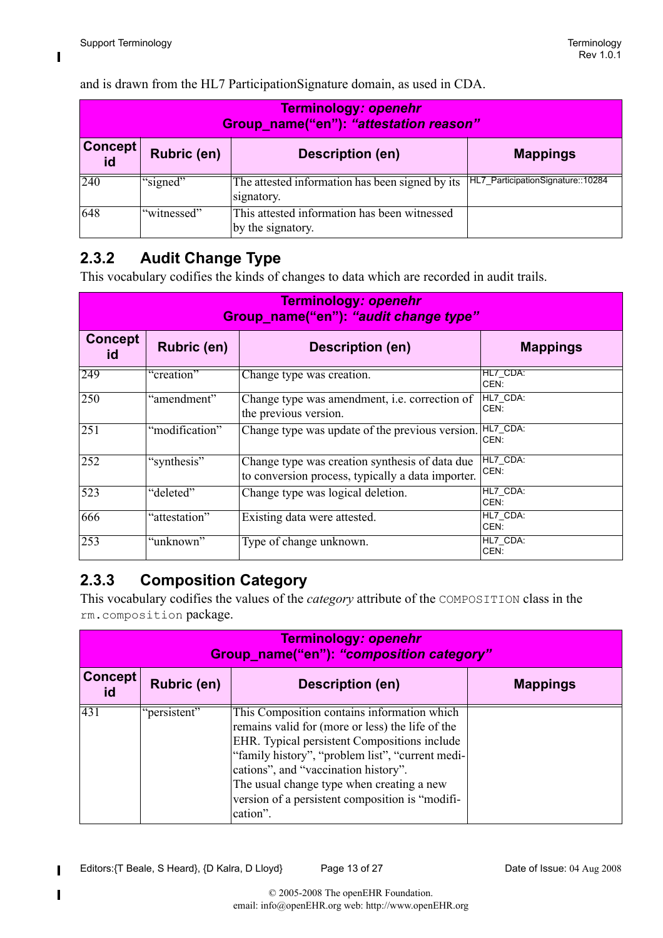ľ

| Terminology: openehr<br>Group_name("en"): "attestation reason" |                                                           |                                                                   |                                   |  |
|----------------------------------------------------------------|-----------------------------------------------------------|-------------------------------------------------------------------|-----------------------------------|--|
| <b>Concept</b><br>id                                           | <b>Rubric (en)</b><br>Description (en)<br><b>Mappings</b> |                                                                   |                                   |  |
| 240                                                            | "signed"                                                  | The attested information has been signed by its<br>signatory.     | HL7 ParticipationSignature::10284 |  |
| 648                                                            | "witnessed"                                               | This attested information has been witnessed<br>by the signatory. |                                   |  |

and is drawn from the HL7 ParticipationSignature domain, as used in CDA.

#### <span id="page-12-0"></span>**2.3.2 Audit Change Type**

This vocabulary codifies the kinds of changes to data which are recorded in audit trails.

| Terminology: openehr<br>Group_name("en"): "audit change type" |                    |                                                                                                     |                  |  |
|---------------------------------------------------------------|--------------------|-----------------------------------------------------------------------------------------------------|------------------|--|
| <b>Concept</b><br>id                                          | <b>Rubric (en)</b> | Description (en)                                                                                    | <b>Mappings</b>  |  |
| 249                                                           | "creation"         | Change type was creation.                                                                           | HL7_CDA:<br>CEN: |  |
| 250                                                           | "amendment"        | Change type was amendment, i.e. correction of<br>the previous version.                              | HL7_CDA:<br>CEN: |  |
| 251                                                           | "modification"     | Change type was update of the previous version.                                                     | HL7_CDA:<br>CEN: |  |
| 252                                                           | "synthesis"        | Change type was creation synthesis of data due<br>to conversion process, typically a data importer. | HL7_CDA:<br>CEN: |  |
| 523                                                           | "deleted"          | Change type was logical deletion.                                                                   | HL7 CDA:<br>CEN: |  |
| 666                                                           | "attestation"      | Existing data were attested.                                                                        | HL7 CDA:<br>CEN: |  |
| 253                                                           | "unknown"          | Type of change unknown.                                                                             | HL7_CDA:<br>CEN: |  |

#### <span id="page-12-1"></span>**2.3.3 Composition Category**

This vocabulary codifies the values of the *category* attribute of the COMPOSITION class in the rm.composition package.

| <b>Terminology: openehr</b><br><b>Group_name("en"): "composition category"</b> |                    |                                                                                                                                                                                                                                                                                                                                                         |                 |  |
|--------------------------------------------------------------------------------|--------------------|---------------------------------------------------------------------------------------------------------------------------------------------------------------------------------------------------------------------------------------------------------------------------------------------------------------------------------------------------------|-----------------|--|
| <b>Concept</b><br>id                                                           | <b>Rubric (en)</b> | Description (en)                                                                                                                                                                                                                                                                                                                                        | <b>Mappings</b> |  |
| 431                                                                            | 'persistent''      | This Composition contains information which<br>remains valid for (more or less) the life of the<br>EHR. Typical persistent Compositions include<br>"family history", "problem list", "current medi-<br>cations", and "vaccination history".<br>The usual change type when creating a new<br>version of a persistent composition is "modifi-<br>cation". |                 |  |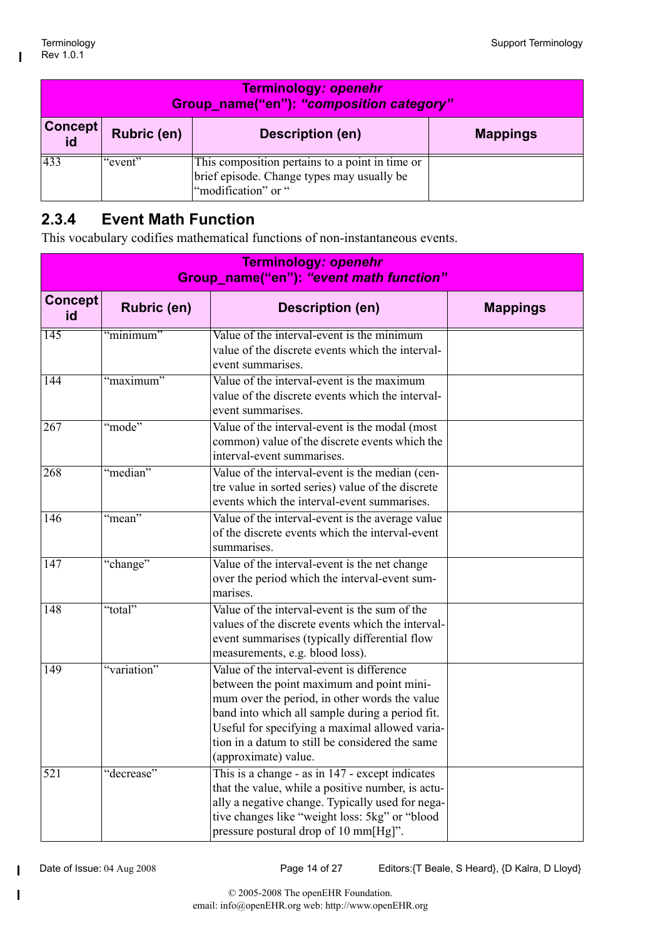$\overline{\phantom{a}}$ 

| <u> Terminology: openehr</u><br><b>Group_name("en"): "composition category"</b> |                    |                                                                                                                      |                 |
|---------------------------------------------------------------------------------|--------------------|----------------------------------------------------------------------------------------------------------------------|-----------------|
| <b>Concept</b><br>id                                                            | <b>Rubric (en)</b> | Description (en)                                                                                                     | <b>Mappings</b> |
| 433                                                                             | "event"            | This composition pertains to a point in time or<br>brief episode. Change types may usually be<br>"modification" or " |                 |

### <span id="page-13-0"></span>**2.3.4 Event Math Function**

This vocabulary codifies mathematical functions of non-instantaneous events.

| <b>Terminology: openehr</b><br>Group_name("en"): "event math function" |                    |                                                                                                                                                                                                                                                                                                                         |                 |
|------------------------------------------------------------------------|--------------------|-------------------------------------------------------------------------------------------------------------------------------------------------------------------------------------------------------------------------------------------------------------------------------------------------------------------------|-----------------|
| <b>Concept</b><br>id                                                   | <b>Rubric (en)</b> | <b>Description (en)</b>                                                                                                                                                                                                                                                                                                 | <b>Mappings</b> |
| 145                                                                    | 'minimum'          | Value of the interval-event is the minimum<br>value of the discrete events which the interval-<br>event summarises.                                                                                                                                                                                                     |                 |
| 144                                                                    | 'maximum''         | Value of the interval-event is the maximum<br>value of the discrete events which the interval-<br>event summarises.                                                                                                                                                                                                     |                 |
| 267                                                                    | "mode"             | Value of the interval-event is the modal (most<br>common) value of the discrete events which the<br>interval-event summarises.                                                                                                                                                                                          |                 |
| 268                                                                    | "median"           | Value of the interval-event is the median (cen-<br>tre value in sorted series) value of the discrete<br>events which the interval-event summarises.                                                                                                                                                                     |                 |
| 146                                                                    | "mean"             | Value of the interval-event is the average value<br>of the discrete events which the interval-event<br>summarises.                                                                                                                                                                                                      |                 |
| 147                                                                    | "change"           | Value of the interval-event is the net change<br>over the period which the interval-event sum-<br>marises.                                                                                                                                                                                                              |                 |
| 148                                                                    | "total"            | Value of the interval-event is the sum of the<br>values of the discrete events which the interval-<br>event summarises (typically differential flow<br>measurements, e.g. blood loss).                                                                                                                                  |                 |
| 149                                                                    | "variation"        | Value of the interval-event is difference<br>between the point maximum and point mini-<br>mum over the period, in other words the value<br>band into which all sample during a period fit.<br>Useful for specifying a maximal allowed varia-<br>tion in a datum to still be considered the same<br>(approximate) value. |                 |
| 521                                                                    | "decrease"         | This is a change - as in 147 - except indicates<br>that the value, while a positive number, is actu-<br>ally a negative change. Typically used for nega-<br>tive changes like "weight loss: 5kg" or "blood<br>pressure postural drop of 10 mm[Hg]".                                                                     |                 |

 $\blacksquare$ 

 $\mathbf I$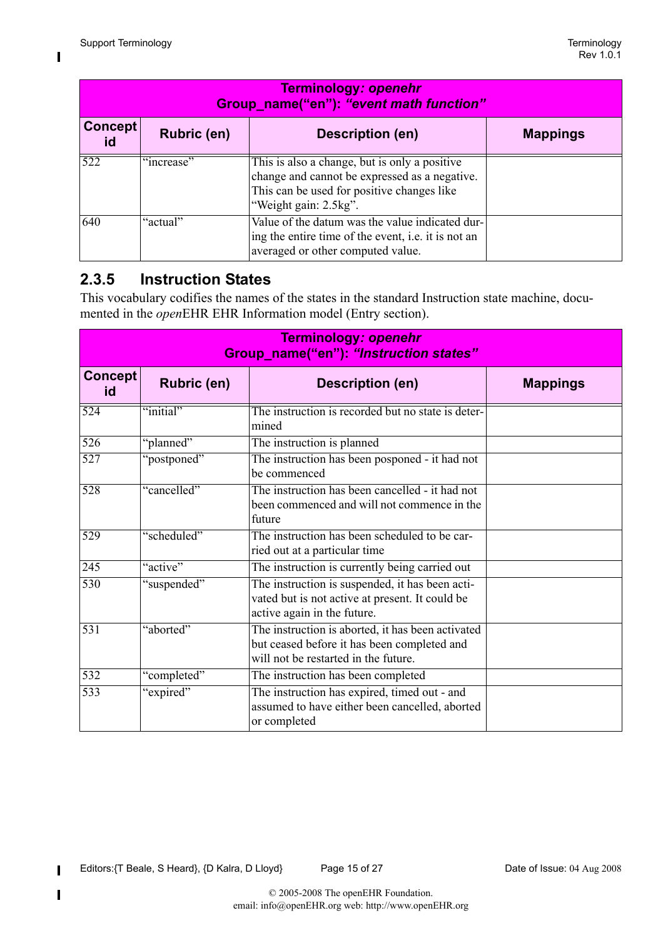Г

| Terminology <i>: openehr</i><br>Group name("en"): "event math function" |             |                                                                                                                                                                       |                 |
|-------------------------------------------------------------------------|-------------|-----------------------------------------------------------------------------------------------------------------------------------------------------------------------|-----------------|
| <b>Concept</b><br>id                                                    | Rubric (en) | <b>Description (en)</b>                                                                                                                                               | <b>Mappings</b> |
| 522                                                                     | "increase"  | This is also a change, but is only a positive<br>change and cannot be expressed as a negative.<br>This can be used for positive changes like<br>"Weight gain: 2.5kg". |                 |
| 640                                                                     | "actual"    | Value of the datum was the value indicated dur-<br>ing the entire time of the event, i.e. it is not an<br>averaged or other computed value.                           |                 |

#### <span id="page-14-0"></span>**2.3.5 Instruction States**

This vocabulary codifies the names of the states in the standard Instruction state machine, documented in the *open*EHR EHR Information model (Entry section).

| Terminology: openehr<br><b>Group_name("en"): "Instruction states"</b> |             |                                                                                                                                          |                 |
|-----------------------------------------------------------------------|-------------|------------------------------------------------------------------------------------------------------------------------------------------|-----------------|
| <b>Concept</b><br>id                                                  | Rubric (en) | Description (en)                                                                                                                         | <b>Mappings</b> |
| 524                                                                   | "initial"   | The instruction is recorded but no state is deter-<br>mined                                                                              |                 |
| 526                                                                   | "planned"   | The instruction is planned                                                                                                               |                 |
| 527                                                                   | "postponed" | The instruction has been posponed - it had not<br>be commenced                                                                           |                 |
| 528                                                                   | "cancelled" | The instruction has been cancelled - it had not<br>been commenced and will not commence in the<br>future                                 |                 |
| 529                                                                   | "scheduled" | The instruction has been scheduled to be car-<br>ried out at a particular time                                                           |                 |
| 245                                                                   | "active"    | The instruction is currently being carried out                                                                                           |                 |
| 530                                                                   | "suspended" | The instruction is suspended, it has been acti-<br>vated but is not active at present. It could be<br>active again in the future.        |                 |
| $\overline{531}$                                                      | "aborted"   | The instruction is aborted, it has been activated<br>but ceased before it has been completed and<br>will not be restarted in the future. |                 |
| 532                                                                   | "completed" | The instruction has been completed                                                                                                       |                 |
| 533                                                                   | "expired"   | The instruction has expired, timed out - and<br>assumed to have either been cancelled, aborted<br>or completed                           |                 |

I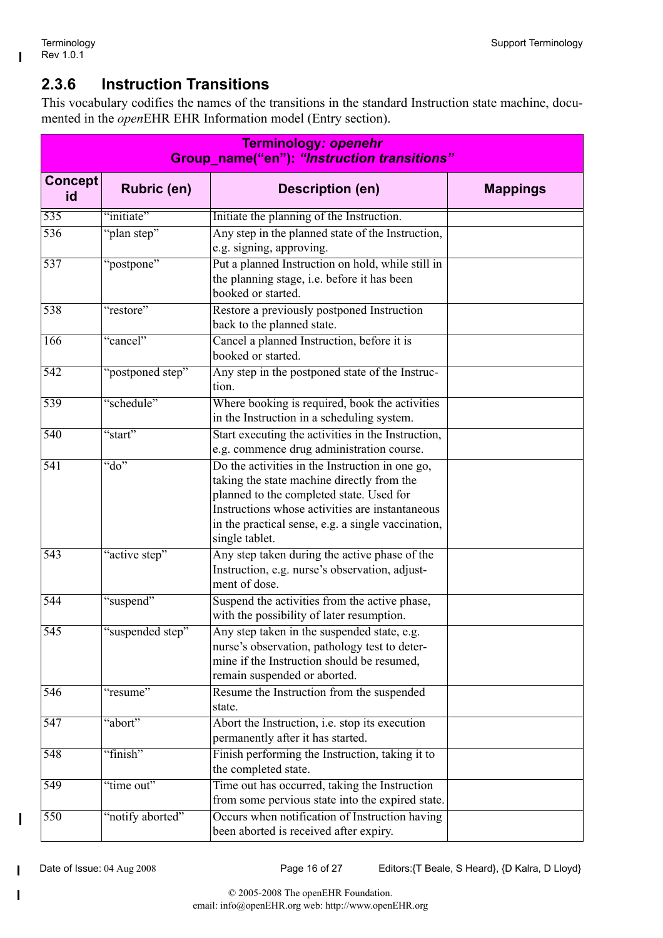I

### <span id="page-15-0"></span>**2.3.6 Instruction Transitions**

This vocabulary codifies the names of the transitions in the standard Instruction state machine, documented in the *open*EHR EHR Information model (Entry section).

| Terminology: openehr<br><b>Group_name("en"): "Instruction transitions"</b> |                    |                                                                                                                                                                                                                                                                      |                 |
|----------------------------------------------------------------------------|--------------------|----------------------------------------------------------------------------------------------------------------------------------------------------------------------------------------------------------------------------------------------------------------------|-----------------|
| <b>Concept</b><br>id                                                       | <b>Rubric (en)</b> | <b>Description (en)</b>                                                                                                                                                                                                                                              | <b>Mappings</b> |
| 535                                                                        | "initiate"         | Initiate the planning of the Instruction.                                                                                                                                                                                                                            |                 |
| 536                                                                        | "plan step"        | Any step in the planned state of the Instruction,<br>e.g. signing, approving.                                                                                                                                                                                        |                 |
| 537                                                                        | "postpone"         | Put a planned Instruction on hold, while still in<br>the planning stage, i.e. before it has been<br>booked or started.                                                                                                                                               |                 |
| 538                                                                        | "restore"          | Restore a previously postponed Instruction<br>back to the planned state.                                                                                                                                                                                             |                 |
| 166                                                                        | "cancel"           | Cancel a planned Instruction, before it is<br>booked or started.                                                                                                                                                                                                     |                 |
| 542                                                                        | "postponed step"   | Any step in the postponed state of the Instruc-<br>tion.                                                                                                                                                                                                             |                 |
| 539                                                                        | "schedule"         | Where booking is required, book the activities<br>in the Instruction in a scheduling system.                                                                                                                                                                         |                 |
| 540                                                                        | "start"            | Start executing the activities in the Instruction,<br>e.g. commence drug administration course.                                                                                                                                                                      |                 |
| 541                                                                        | " $d_0$ "          | Do the activities in the Instruction in one go,<br>taking the state machine directly from the<br>planned to the completed state. Used for<br>Instructions whose activities are instantaneous<br>in the practical sense, e.g. a single vaccination,<br>single tablet. |                 |
| 543                                                                        | 'active step"      | Any step taken during the active phase of the<br>Instruction, e.g. nurse's observation, adjust-<br>ment of dose.                                                                                                                                                     |                 |
| $\overline{5}44$                                                           | "suspend"          | Suspend the activities from the active phase,<br>with the possibility of later resumption.                                                                                                                                                                           |                 |
| 545                                                                        | "suspended step"   | Any step taken in the suspended state, e.g.<br>nurse's observation, pathology test to deter-<br>mine if the Instruction should be resumed,<br>remain suspended or aborted.                                                                                           |                 |
| 546                                                                        | "resume"           | Resume the Instruction from the suspended<br>state.                                                                                                                                                                                                                  |                 |
| 547                                                                        | "abort"            | Abort the Instruction, <i>i.e.</i> stop its execution<br>permanently after it has started.                                                                                                                                                                           |                 |
| 548                                                                        | "finish"           | Finish performing the Instruction, taking it to<br>the completed state.                                                                                                                                                                                              |                 |
| 549                                                                        | "time out"         | Time out has occurred, taking the Instruction<br>from some pervious state into the expired state.                                                                                                                                                                    |                 |
| 550                                                                        | 'notify aborted"   | Occurs when notification of Instruction having<br>been aborted is received after expiry.                                                                                                                                                                             |                 |

 $\overline{\phantom{a}}$ 

 $\blacksquare$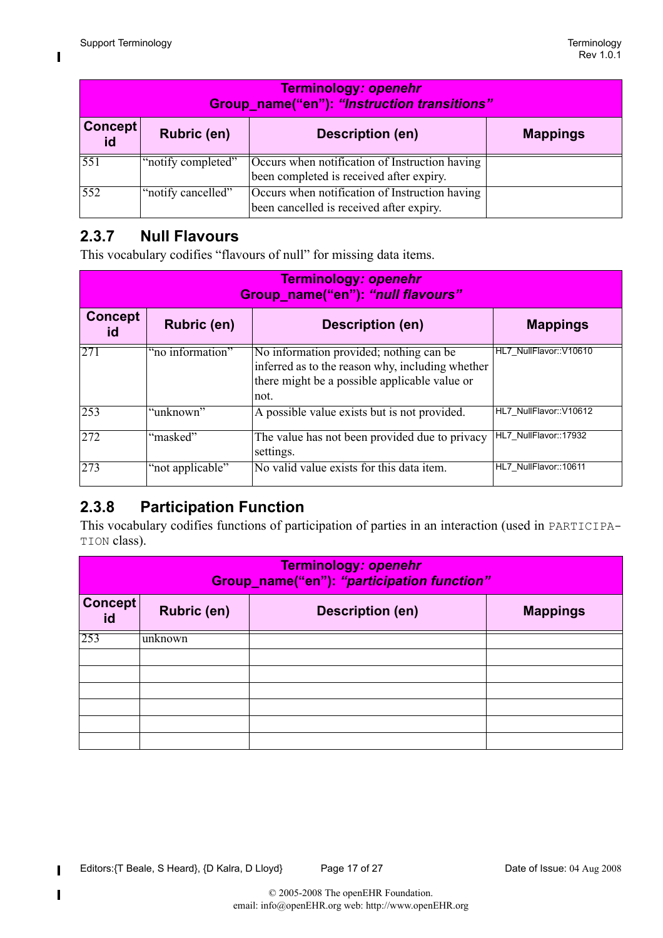Г

| Terminology: openehr<br><b>Group_name("en"): "Instruction transitions"</b> |                    |                                                                                            |                 |
|----------------------------------------------------------------------------|--------------------|--------------------------------------------------------------------------------------------|-----------------|
| <b>Concept</b><br>id                                                       | <b>Rubric (en)</b> | Description (en)                                                                           | <b>Mappings</b> |
| 551                                                                        | "notify completed" | Occurs when notification of Instruction having<br>been completed is received after expiry. |                 |
| 552                                                                        | "notify cancelled" | Occurs when notification of Instruction having<br>been cancelled is received after expiry. |                 |

#### <span id="page-16-0"></span>**2.3.7 Null Flavours**

This vocabulary codifies "flavours of null" for missing data items.

| <u> Terminology: openehr</u><br><b>Group_name("en"): "null flavours"</b> |                    |                                                                                                                                                      |                         |  |
|--------------------------------------------------------------------------|--------------------|------------------------------------------------------------------------------------------------------------------------------------------------------|-------------------------|--|
| <b>Concept</b><br>id                                                     | <b>Rubric (en)</b> | <b>Description (en)</b>                                                                                                                              | <b>Mappings</b>         |  |
| 271                                                                      | "no information"   | No information provided; nothing can be<br>inferred as to the reason why, including whether<br>there might be a possible applicable value or<br>not. | HL7 NullFlavor:: V10610 |  |
| 253                                                                      | "unknown"          | A possible value exists but is not provided.                                                                                                         | HL7 NullFlavor:: V10612 |  |
| 272                                                                      | "masked"           | The value has not been provided due to privacy<br>settings.                                                                                          | HL7 NullFlavor::17932   |  |
| 273                                                                      | "not applicable"   | No valid value exists for this data item.                                                                                                            | HL7 NullFlavor::10611   |  |

#### <span id="page-16-1"></span>**2.3.8 Participation Function**

This vocabulary codifies functions of participation of parties in an interaction (used in PARTICIPA-TION class).

| Terminology: openehr<br><b>Group_name("en"): "participation function"</b> |             |                         |                 |  |
|---------------------------------------------------------------------------|-------------|-------------------------|-----------------|--|
| <b>Concept</b><br>id                                                      | Rubric (en) | <b>Description (en)</b> | <b>Mappings</b> |  |
| 253                                                                       | unknown     |                         |                 |  |
|                                                                           |             |                         |                 |  |
|                                                                           |             |                         |                 |  |
|                                                                           |             |                         |                 |  |
|                                                                           |             |                         |                 |  |
|                                                                           |             |                         |                 |  |
|                                                                           |             |                         |                 |  |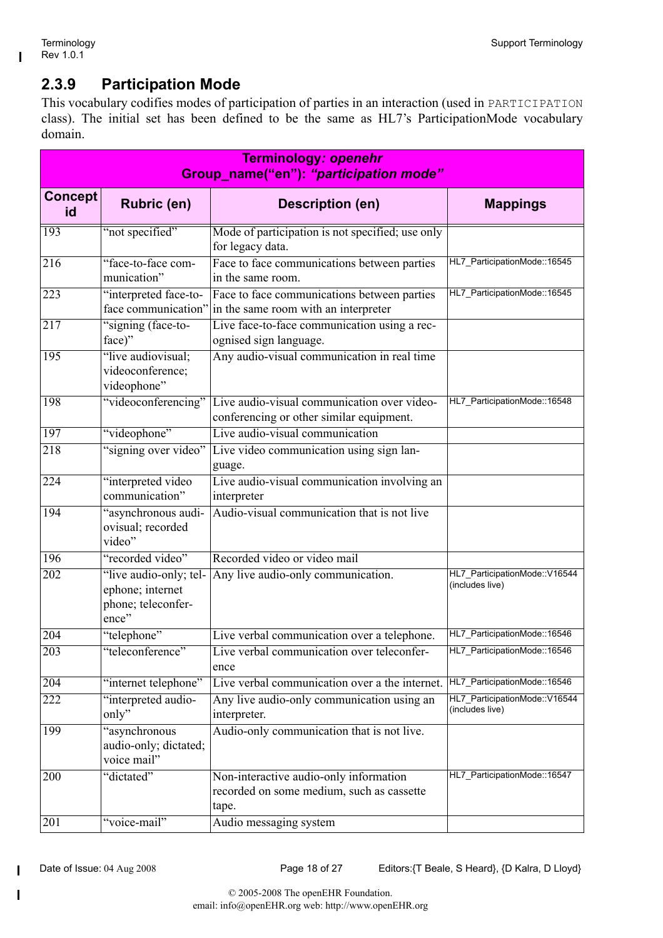T

#### <span id="page-17-0"></span>**2.3.9 Participation Mode**

This vocabulary codifies modes of participation of parties in an interaction (used in PARTICIPATION class). The initial set has been defined to be the same as HL7's ParticipationMode vocabulary domain.

| Terminology: openehr<br><b>Group_name("en"): "participation mode"</b> |                                                                           |                                                                                              |                                                  |
|-----------------------------------------------------------------------|---------------------------------------------------------------------------|----------------------------------------------------------------------------------------------|--------------------------------------------------|
| <b>Concept</b><br>id                                                  | <b>Rubric (en)</b>                                                        | Description (en)                                                                             | <b>Mappings</b>                                  |
| 193                                                                   | "not specified"                                                           | Mode of participation is not specified; use only<br>for legacy data.                         |                                                  |
| 216                                                                   | "face-to-face com-<br>munication"                                         | Face to face communications between parties<br>in the same room.                             | HL7_ParticipationMode::16545                     |
| 223                                                                   | "interpreted face-to-<br>face communication"                              | Face to face communications between parties<br>in the same room with an interpreter          | HL7_ParticipationMode::16545                     |
| 217                                                                   | "signing (face-to-<br>face)"                                              | Live face-to-face communication using a rec-<br>ognised sign language.                       |                                                  |
| 195                                                                   | "live audiovisual;<br>videoconference;<br>videophone"                     | Any audio-visual communication in real time                                                  |                                                  |
| 198                                                                   | "videoconferencing"                                                       | Live audio-visual communication over video-<br>conferencing or other similar equipment.      | HL7_ParticipationMode::16548                     |
| 197                                                                   | "videophone"                                                              | Live audio-visual communication                                                              |                                                  |
| 218                                                                   | "signing over video"                                                      | Live video communication using sign lan-<br>guage.                                           |                                                  |
| 224                                                                   | "interpreted video<br>communication"                                      | Live audio-visual communication involving an<br>interpreter                                  |                                                  |
| 194                                                                   | "asynchronous audi-<br>ovisual; recorded<br>video"                        | Audio-visual communication that is not live                                                  |                                                  |
| 196                                                                   | "recorded video"                                                          | Recorded video or video mail                                                                 |                                                  |
| 202                                                                   | "live audio-only; tel-<br>ephone; internet<br>phone; teleconfer-<br>ence" | Any live audio-only communication.                                                           | HL7_ParticipationMode::V16544<br>(includes live) |
| 204                                                                   | "telephone"                                                               | Live verbal communication over a telephone.                                                  | HL7_ParticipationMode::16546                     |
| 203                                                                   | "teleconference"                                                          | Live verbal communication over teleconfer-<br>ence                                           | HL7_ParticipationMode::16546                     |
| 204                                                                   | "internet telephone"                                                      | Live verbal communication over a the internet.                                               | HL7_ParticipationMode::16546                     |
| $\overline{222}$                                                      | "interpreted audio-<br>only"                                              | Any live audio-only communication using an<br>interpreter.                                   | HL7_ParticipationMode::V16544<br>(includes live) |
| 199                                                                   | "asynchronous<br>audio-only; dictated;<br>voice mail"                     | Audio-only communication that is not live.                                                   |                                                  |
| 200                                                                   | "dictated"                                                                | Non-interactive audio-only information<br>recorded on some medium, such as cassette<br>tape. | HL7_ParticipationMode::16547                     |
| 201                                                                   | "voice-mail"                                                              | Audio messaging system                                                                       |                                                  |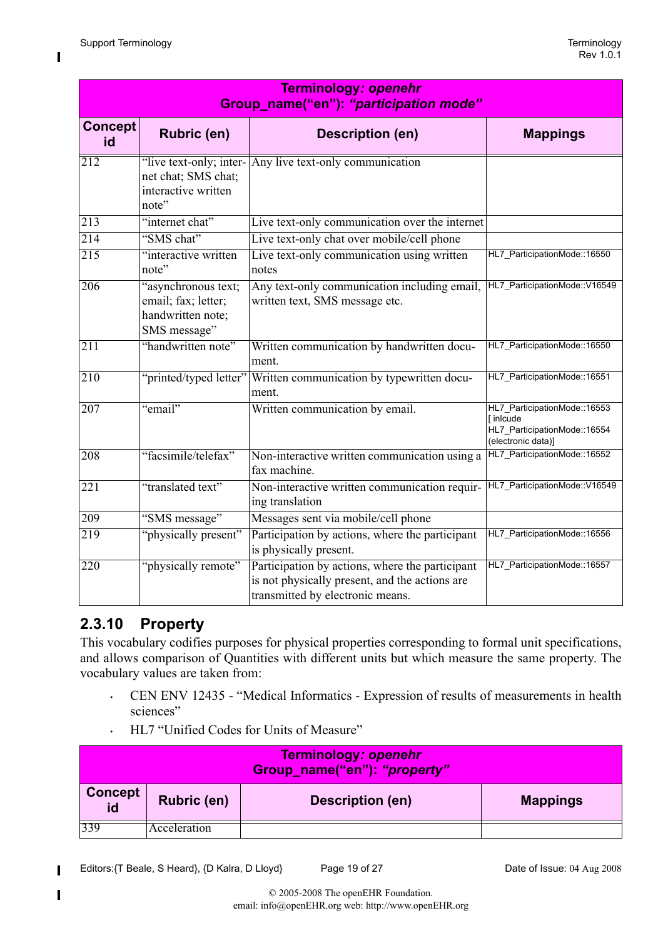| Terminology: openehr<br>Group_name("en"): "participation mode" |                                                                                 |                                                                                                                                       |                                                                                                 |
|----------------------------------------------------------------|---------------------------------------------------------------------------------|---------------------------------------------------------------------------------------------------------------------------------------|-------------------------------------------------------------------------------------------------|
| <b>Concept</b><br>id                                           | Rubric (en)                                                                     | Description (en)                                                                                                                      | <b>Mappings</b>                                                                                 |
| 212                                                            | "live text-only; inter-<br>net chat; SMS chat;<br>interactive written<br>note"  | Any live text-only communication                                                                                                      |                                                                                                 |
| 213                                                            | "internet chat"                                                                 | Live text-only communication over the internet                                                                                        |                                                                                                 |
| 214                                                            | "SMS chat"                                                                      | Live text-only chat over mobile/cell phone                                                                                            |                                                                                                 |
| 215                                                            | "interactive written<br>note"                                                   | Live text-only communication using written<br>notes                                                                                   | HL7_ParticipationMode::16550                                                                    |
| 206                                                            | "asynchronous text;<br>email; fax; letter;<br>handwritten note;<br>SMS message" | Any text-only communication including email,<br>written text, SMS message etc.                                                        | HL7_ParticipationMode::V16549                                                                   |
| 211                                                            | "handwritten note"                                                              | Written communication by handwritten docu-<br>ment.                                                                                   | HL7_ParticipationMode::16550                                                                    |
| 210                                                            | "printed/typed letter"                                                          | Written communication by typewritten docu-<br>ment.                                                                                   | HL7_ParticipationMode::16551                                                                    |
| 207                                                            | "email"                                                                         | Written communication by email.                                                                                                       | HL7_ParticipationMode::16553<br>[ inlcude<br>HL7_ParticipationMode::16554<br>(electronic data)] |
| 208                                                            | "facsimile/telefax"                                                             | Non-interactive written communication using a<br>fax machine.                                                                         | HL7_ParticipationMode::16552                                                                    |
| 221                                                            | "translated text"                                                               | Non-interactive written communication requir-<br>ing translation                                                                      | HL7_ParticipationMode::V16549                                                                   |
| 209                                                            | "SMS message"                                                                   | Messages sent via mobile/cell phone                                                                                                   |                                                                                                 |
| 219                                                            | "physically present"                                                            | Participation by actions, where the participant<br>is physically present.                                                             | HL7_ParticipationMode::16556                                                                    |
| 220                                                            | "physically remote"                                                             | Participation by actions, where the participant<br>is not physically present, and the actions are<br>transmitted by electronic means. | HL7_ParticipationMode::16557                                                                    |

#### <span id="page-18-0"></span>**2.3.10 Property**

This vocabulary codifies purposes for physical properties corresponding to formal unit specifications, and allows comparison of Quantities with different units but which measure the same property. The vocabulary values are taken from:

- CEN ENV 12435 "Medical Informatics Expression of results of measurements in health sciences"
- HL7 "Unified Codes for Units of Measure"

| Terminology: openehr<br>Group name("en"): "property" |                    |                  |                 |
|------------------------------------------------------|--------------------|------------------|-----------------|
| <b>Concept</b><br>id                                 | <b>Rubric (en)</b> | Description (en) | <b>Mappings</b> |
|                                                      | Acceleration       |                  |                 |

[Editors:{T Beale, S Heard}, {D Kalra, D Lloyd}](#page-0-4) Page 19 of [27](#page-26-0) Date of Issue: [04 Aug 2008](#page-2-2)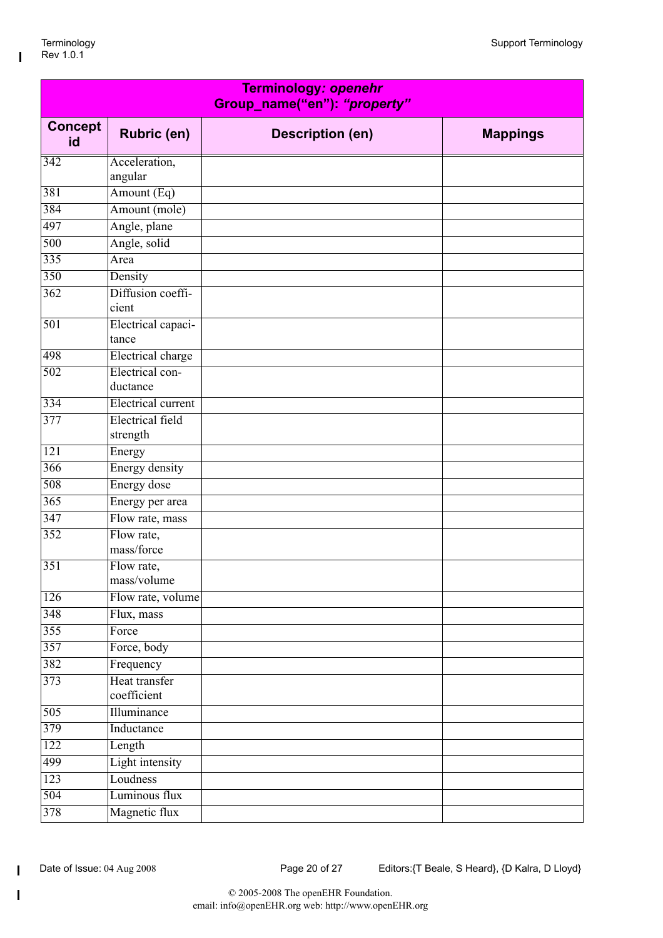$\overline{\phantom{a}}$ 

| Terminology: openehr         |                                     |                         |                 |  |
|------------------------------|-------------------------------------|-------------------------|-----------------|--|
| Group_name("en"): "property" |                                     |                         |                 |  |
| <b>Concept</b><br>id         | Rubric (en)                         | <b>Description (en)</b> | <b>Mappings</b> |  |
| 342                          | Acceleration,                       |                         |                 |  |
|                              | angular                             |                         |                 |  |
| 381                          | Amount (Eq)                         |                         |                 |  |
| 384                          | Amount (mole)                       |                         |                 |  |
| 497                          | Angle, plane                        |                         |                 |  |
| 500                          | Angle, solid                        |                         |                 |  |
| 335                          | Area                                |                         |                 |  |
| 350                          | Density                             |                         |                 |  |
| 362                          | Diffusion coeffi-<br>cient          |                         |                 |  |
| 501                          | Electrical capaci-<br>tance         |                         |                 |  |
| 498                          | Electrical charge                   |                         |                 |  |
| 502                          | Electrical con-<br>ductance         |                         |                 |  |
| 334                          | <b>Electrical current</b>           |                         |                 |  |
| 377                          | <b>Electrical</b> field<br>strength |                         |                 |  |
| 121                          | Energy                              |                         |                 |  |
| 366                          | <b>Energy density</b>               |                         |                 |  |
| 508                          | Energy dose                         |                         |                 |  |
| 365                          | Energy per area                     |                         |                 |  |
| 347                          | Flow rate, mass                     |                         |                 |  |
| 352                          | Flow rate,<br>mass/force            |                         |                 |  |
| 351                          | Flow rate,<br>mass/volume           |                         |                 |  |
| 126                          | Flow rate, volume                   |                         |                 |  |
| 348                          | Flux, mass                          |                         |                 |  |
| 355                          | Force                               |                         |                 |  |
| 357                          | Force, body                         |                         |                 |  |
| 382                          | Frequency                           |                         |                 |  |
| 373                          | Heat transfer<br>coefficient        |                         |                 |  |
| 505                          | <b>Illuminance</b>                  |                         |                 |  |
| 379                          | Inductance                          |                         |                 |  |
| 122                          | Length                              |                         |                 |  |
| 499                          | Light intensity                     |                         |                 |  |
| 123                          | Loudness                            |                         |                 |  |
| 504                          | Luminous flux                       |                         |                 |  |
| 378                          | Magnetic flux                       |                         |                 |  |

 $\blacksquare$ 

 $\mathbf I$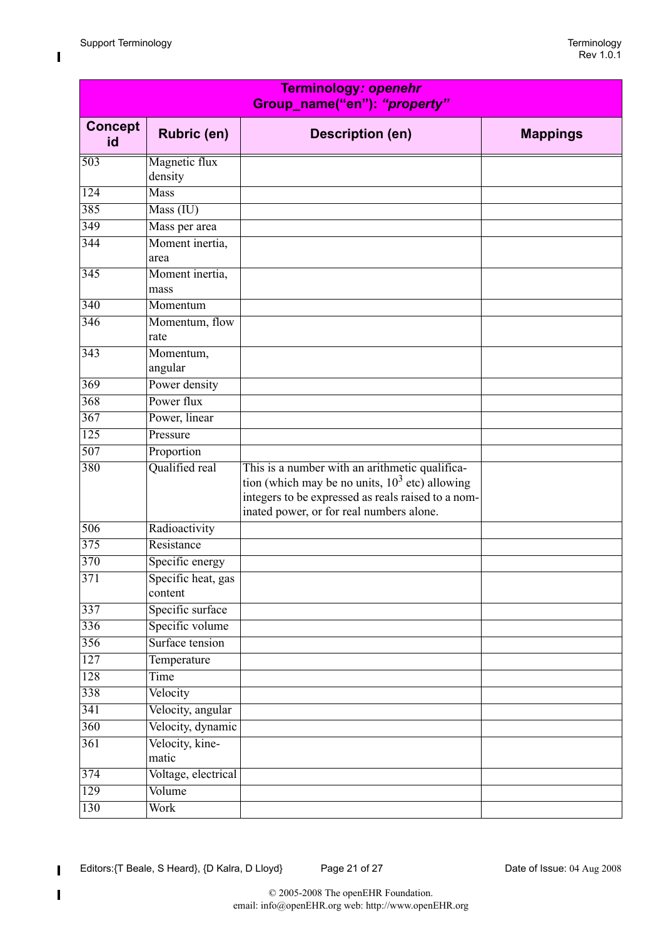ľ

| Terminology: openehr<br>Group_name("en"): "property" |                               |                                                                                                                                                                                                       |                 |  |
|------------------------------------------------------|-------------------------------|-------------------------------------------------------------------------------------------------------------------------------------------------------------------------------------------------------|-----------------|--|
| <b>Concept</b><br>id                                 | <b>Rubric (en)</b>            | <b>Description (en)</b>                                                                                                                                                                               | <b>Mappings</b> |  |
| 503                                                  | Magnetic flux                 |                                                                                                                                                                                                       |                 |  |
|                                                      | density                       |                                                                                                                                                                                                       |                 |  |
| 124                                                  | Mass                          |                                                                                                                                                                                                       |                 |  |
| 385                                                  | Mass (IU)                     |                                                                                                                                                                                                       |                 |  |
| 349                                                  | Mass per area                 |                                                                                                                                                                                                       |                 |  |
| 344                                                  | Moment inertia,<br>area       |                                                                                                                                                                                                       |                 |  |
| $\overline{345}$                                     | Moment inertia,<br>mass       |                                                                                                                                                                                                       |                 |  |
| 340                                                  | Momentum                      |                                                                                                                                                                                                       |                 |  |
| 346                                                  | Momentum, flow<br>rate        |                                                                                                                                                                                                       |                 |  |
| $\overline{343}$                                     | Momentum,<br>angular          |                                                                                                                                                                                                       |                 |  |
| 369                                                  | Power density                 |                                                                                                                                                                                                       |                 |  |
| 368                                                  | Power flux                    |                                                                                                                                                                                                       |                 |  |
| 367                                                  | Power, linear                 |                                                                                                                                                                                                       |                 |  |
| 125                                                  | Pressure                      |                                                                                                                                                                                                       |                 |  |
| 507                                                  | Proportion                    |                                                                                                                                                                                                       |                 |  |
| 380                                                  | Qualified real                | This is a number with an arithmetic qualifica-<br>tion (which may be no units, $10^3$ etc) allowing<br>integers to be expressed as reals raised to a nom-<br>inated power, or for real numbers alone. |                 |  |
| 506                                                  | Radioactivity                 |                                                                                                                                                                                                       |                 |  |
| 375                                                  | Resistance                    |                                                                                                                                                                                                       |                 |  |
| 370                                                  | Specific energy               |                                                                                                                                                                                                       |                 |  |
| 371                                                  | Specific heat, gas<br>content |                                                                                                                                                                                                       |                 |  |
| 337                                                  | Specific surface              |                                                                                                                                                                                                       |                 |  |
| 336                                                  | Specific volume               |                                                                                                                                                                                                       |                 |  |
| 356                                                  | Surface tension               |                                                                                                                                                                                                       |                 |  |
| 127                                                  | Temperature                   |                                                                                                                                                                                                       |                 |  |
| 128                                                  | Time                          |                                                                                                                                                                                                       |                 |  |
| 338                                                  | Velocity                      |                                                                                                                                                                                                       |                 |  |
| 341                                                  | Velocity, angular             |                                                                                                                                                                                                       |                 |  |
| 360                                                  | Velocity, dynamic             |                                                                                                                                                                                                       |                 |  |
| 361                                                  | Velocity, kine-<br>matic      |                                                                                                                                                                                                       |                 |  |
| $\overline{374}$                                     | Voltage, electrical           |                                                                                                                                                                                                       |                 |  |
| 129                                                  | Volume                        |                                                                                                                                                                                                       |                 |  |
| 130                                                  | Work                          |                                                                                                                                                                                                       |                 |  |

T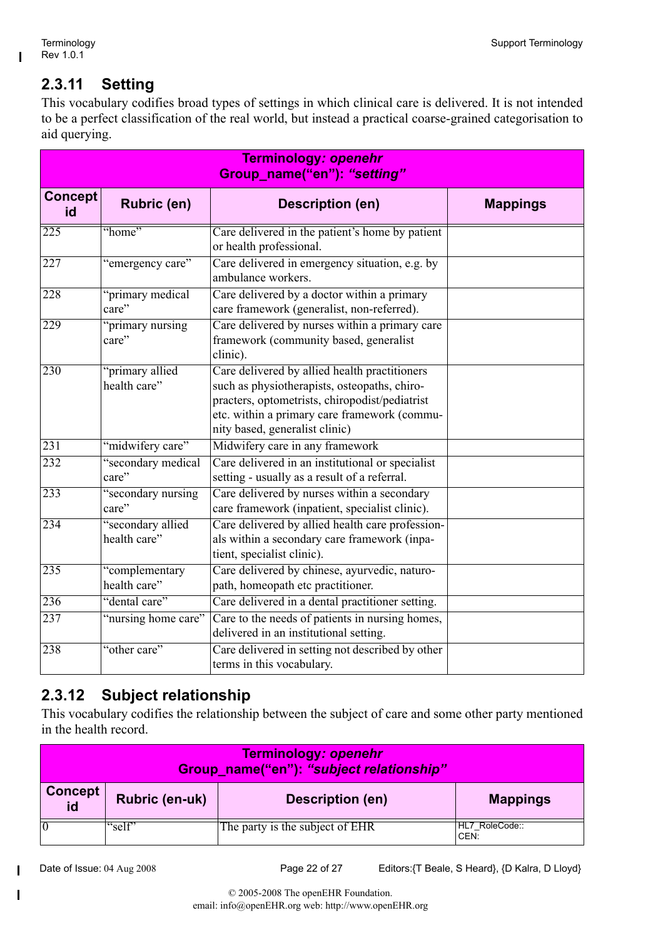П

#### <span id="page-21-0"></span>**2.3.11 Setting**

This vocabulary codifies broad types of settings in which clinical care is delivered. It is not intended to be a perfect classification of the real world, but instead a practical coarse-grained categorisation to aid querying.

| Terminology <i>: openehr</i><br>Group_name("en"): "setting" |                                   |                                                                                                                                                                                                                                   |                 |  |
|-------------------------------------------------------------|-----------------------------------|-----------------------------------------------------------------------------------------------------------------------------------------------------------------------------------------------------------------------------------|-----------------|--|
| <b>Concept</b><br>id                                        | <b>Rubric (en)</b>                | Description (en)                                                                                                                                                                                                                  | <b>Mappings</b> |  |
| 225                                                         | "home"                            | Care delivered in the patient's home by patient<br>or health professional.                                                                                                                                                        |                 |  |
| 227                                                         | "emergency care"                  | Care delivered in emergency situation, e.g. by<br>ambulance workers.                                                                                                                                                              |                 |  |
| 228                                                         | "primary medical<br>care"         | Care delivered by a doctor within a primary<br>care framework (generalist, non-referred).                                                                                                                                         |                 |  |
| 229                                                         | "primary nursing<br>care"         | Care delivered by nurses within a primary care<br>framework (community based, generalist<br>clinic).                                                                                                                              |                 |  |
| 230                                                         | "primary allied"<br>health care"  | Care delivered by allied health practitioners<br>such as physiotherapists, osteopaths, chiro-<br>practers, optometrists, chiropodist/pediatrist<br>etc. within a primary care framework (commu-<br>nity based, generalist clinic) |                 |  |
| 231                                                         | "midwifery care"                  | Midwifery care in any framework                                                                                                                                                                                                   |                 |  |
| 232                                                         | "secondary medical<br>care"       | Care delivered in an institutional or specialist<br>setting - usually as a result of a referral.                                                                                                                                  |                 |  |
| 233                                                         | "secondary nursing<br>care"       | Care delivered by nurses within a secondary<br>care framework (inpatient, specialist clinic).                                                                                                                                     |                 |  |
| 234                                                         | "secondary allied<br>health care" | Care delivered by allied health care profession-<br>als within a secondary care framework (inpa-<br>tient, specialist clinic).                                                                                                    |                 |  |
| 235                                                         | "complementary<br>health care"    | Care delivered by chinese, ayurvedic, naturo-<br>path, homeopath etc practitioner.                                                                                                                                                |                 |  |
| 236                                                         | "dental care"                     | Care delivered in a dental practitioner setting.                                                                                                                                                                                  |                 |  |
| 237                                                         | "nursing home care"               | Care to the needs of patients in nursing homes,<br>delivered in an institutional setting.                                                                                                                                         |                 |  |
| 238                                                         | "other care"                      | Care delivered in setting not described by other<br>terms in this vocabulary.                                                                                                                                                     |                 |  |

## <span id="page-21-1"></span>**2.3.12 Subject relationship**

This vocabulary codifies the relationship between the subject of care and some other party mentioned in the health record.

| Terminology: openehr<br><b>Group_name("en"): "subject relationship"</b> |                       |                                 |                                |  |
|-------------------------------------------------------------------------|-----------------------|---------------------------------|--------------------------------|--|
| Concept<br>id                                                           | <b>Rubric (en-uk)</b> | Description (en)                | <b>Mappings</b>                |  |
|                                                                         | "self"                | The party is the subject of EHR | <b>THL7 RoleCode::</b><br>CEN: |  |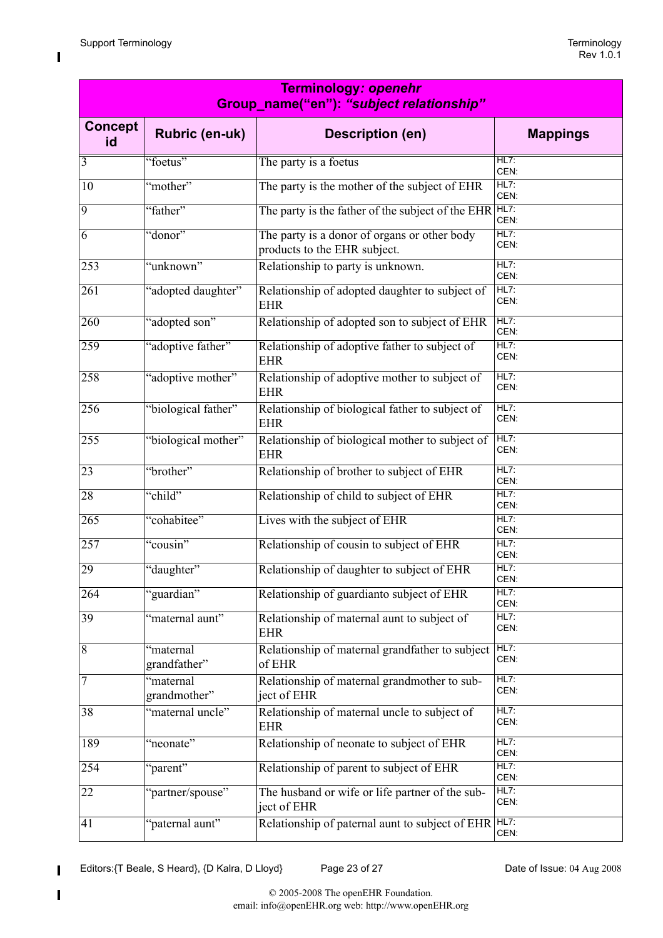Ī

| Terminology: openehr<br>Group_name("en"): "subject relationship" |                           |                                                                              |                 |  |
|------------------------------------------------------------------|---------------------------|------------------------------------------------------------------------------|-----------------|--|
| <b>Concept</b><br>id                                             | Rubric (en-uk)            | <b>Description (en)</b>                                                      | <b>Mappings</b> |  |
| $\overline{3}$                                                   | "foetus"                  | The party is a foetus                                                        | HL7:<br>CEN:    |  |
| 10                                                               | "mother"                  | The party is the mother of the subject of EHR                                | HL7:<br>CEN:    |  |
| $\overline{9}$                                                   | "father"                  | The party is the father of the subject of the EHR                            | HL7:<br>CEN:    |  |
| 6                                                                | "donor"                   | The party is a donor of organs or other body<br>products to the EHR subject. | $HL7$ :<br>CEN: |  |
| 253                                                              | "unknown"                 | Relationship to party is unknown.                                            | $HL7$ :<br>CEN: |  |
| 261                                                              | "adopted daughter"        | Relationship of adopted daughter to subject of<br><b>EHR</b>                 | HL7:<br>CEN:    |  |
| 260                                                              | "adopted son"             | Relationship of adopted son to subject of EHR                                | HL7:<br>CEN:    |  |
| 259                                                              | "adoptive father"         | Relationship of adoptive father to subject of<br><b>EHR</b>                  | HL7:<br>CEN:    |  |
| 258                                                              | "adoptive mother"         | Relationship of adoptive mother to subject of<br><b>EHR</b>                  | HL7:<br>CEN:    |  |
| 256                                                              | "biological father"       | Relationship of biological father to subject of<br><b>EHR</b>                | HL7:<br>CEN:    |  |
| 255                                                              | "biological mother"       | Relationship of biological mother to subject of<br><b>EHR</b>                | HL7:<br>CEN:    |  |
| 23                                                               | "brother"                 | Relationship of brother to subject of EHR                                    | $HL7$ :<br>CEN: |  |
| 28                                                               | "child"                   | Relationship of child to subject of EHR                                      | $HL7$ :<br>CEN: |  |
| 265                                                              | "cohabitee"               | Lives with the subject of EHR                                                | $HL7$ :<br>CEN: |  |
| 257                                                              | "cousin"                  | Relationship of cousin to subject of EHR                                     | HL7:<br>CEN:    |  |
| 29                                                               | "daughter"                | Relationship of daughter to subject of EHR                                   | HL7:<br>CEN:    |  |
| 264                                                              | "guardian"                | Relationship of guardianto subject of EHR                                    | HL7:<br>CEN:    |  |
| 39                                                               | "maternal aunt"           | Relationship of maternal aunt to subject of<br><b>EHR</b>                    | HL7:<br>CEN:    |  |
| $\overline{8}$                                                   | "maternal<br>grandfather" | Relationship of maternal grandfather to subject<br>of EHR                    | HL7:<br>CEN:    |  |
| 7                                                                | "maternal<br>grandmother" | Relationship of maternal grandmother to sub-<br>ject of EHR                  | HL7:<br>CEN:    |  |
| 38                                                               | "maternal uncle"          | Relationship of maternal uncle to subject of<br><b>EHR</b>                   | $HL7$ :<br>CEN: |  |
| 189                                                              | "neonate"                 | Relationship of neonate to subject of EHR                                    | HL7:<br>CEN:    |  |
| 254                                                              | "parent"                  | Relationship of parent to subject of EHR                                     | $HL7$ :<br>CEN: |  |
| 22                                                               | "partner/spouse"          | The husband or wife or life partner of the sub-<br>ject of EHR               | HL7:<br>CEN:    |  |
| 41                                                               | "paternal aunt"           | Relationship of paternal aunt to subject of EHR                              | HL7:<br>CEN:    |  |

Editors: {T Beale, S Heard}, {D Kalra, D Lloyd} Page 23 of [27](#page-26-0) Date of Issue: [04 Aug 2008](#page-2-2)

ı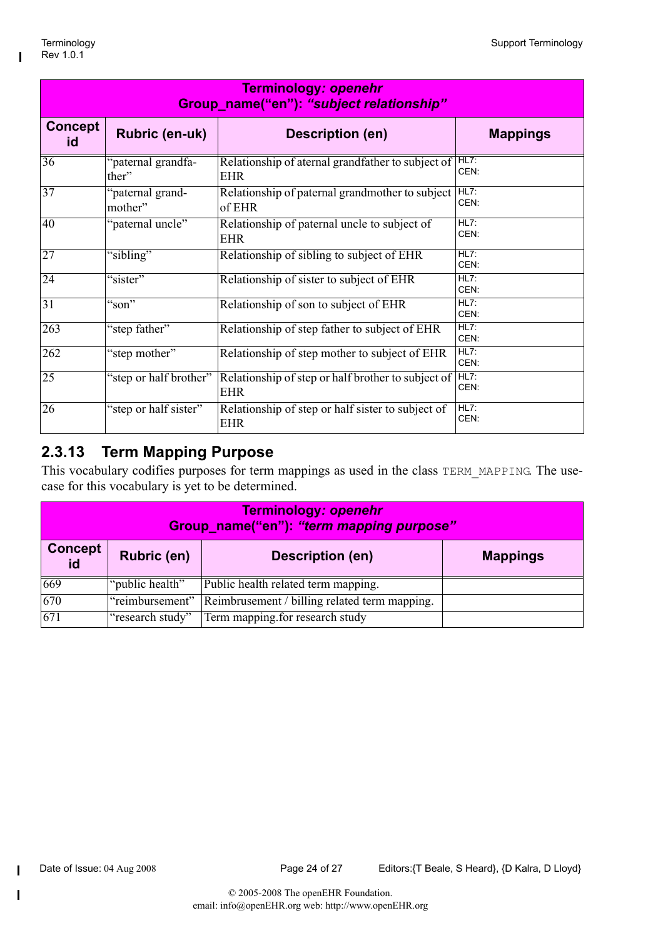| <u> Terminology: openehr</u><br>Group_name("en"): "subject relationship" |                             |                                                                       |                 |  |
|--------------------------------------------------------------------------|-----------------------------|-----------------------------------------------------------------------|-----------------|--|
| <b>Concept</b><br>id                                                     | <b>Rubric (en-uk)</b>       | Description (en)                                                      | <b>Mappings</b> |  |
| 36                                                                       | 'paternal grandfa-<br>ther" | Relationship of aternal grandfather to subject of <b>HL7</b> :<br>EHR | CEN:            |  |
| $\overline{37}$                                                          | "paternal grand-<br>mother" | Relationship of paternal grandmother to subject  HL7:<br>of EHR       | CEN:            |  |
| $\overline{40}$                                                          | "paternal uncle"            | Relationship of paternal uncle to subject of<br>EHR                   | $HL7$ :<br>CEN: |  |
| $\overline{27}$                                                          | "sibling"                   | Relationship of sibling to subject of EHR                             | $HL7$ :<br>CEN: |  |
| 24                                                                       | "sister"                    | Relationship of sister to subject of EHR                              | $HL7$ :<br>CEN: |  |
| $\overline{31}$                                                          | "son"                       | Relationship of son to subject of EHR                                 | $HL7$ :<br>CEN: |  |
| $\overline{263}$                                                         | "step father"               | Relationship of step father to subject of EHR                         | $HL7$ :<br>CEN: |  |
| $\overline{262}$                                                         | "step mother"               | Relationship of step mother to subject of EHR                         | $HL7$ :<br>CEN: |  |
| 25                                                                       | "step or half brother"      | Relationship of step or half brother to subject of HL7:<br>EHR        | CEN:            |  |
| $\overline{26}$                                                          | "step or half sister"       | Relationship of step or half sister to subject of<br><b>EHR</b>       | $HL7$ :<br>CEN: |  |

#### <span id="page-23-0"></span>**2.3.13 Term Mapping Purpose**

This vocabulary codifies purposes for term mappings as used in the class TERM\_MAPPING. The usecase for this vocabulary is yet to be determined.

| <u> Terminology: openehr</u><br>Group_name("en"): "term mapping purpose" |                    |                                               |                 |  |
|--------------------------------------------------------------------------|--------------------|-----------------------------------------------|-----------------|--|
| Concept<br>id                                                            | <b>Rubric (en)</b> | Description (en)                              | <b>Mappings</b> |  |
| 669                                                                      | "public health"    | Public health related term mapping.           |                 |  |
| 670                                                                      | "reimbursement"    | Reimbrusement / billing related term mapping. |                 |  |
| 671                                                                      | "research study"   | Term mapping for research study               |                 |  |

 $\mathbf I$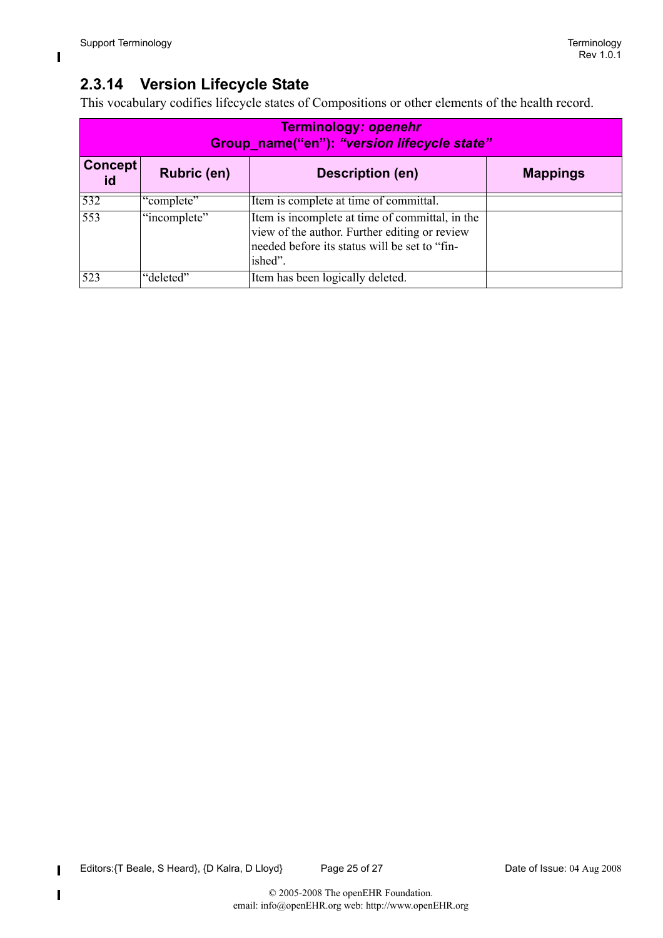ľ

## <span id="page-24-0"></span>**2.3.14 Version Lifecycle State**

This vocabulary codifies lifecycle states of Compositions or other elements of the health record.

| Terminology: openehr<br><b>Group_name("en"): "version lifecycle state"</b> |                    |                                                                                                                                                              |                 |  |
|----------------------------------------------------------------------------|--------------------|--------------------------------------------------------------------------------------------------------------------------------------------------------------|-----------------|--|
| <b>Concept</b><br>id                                                       | <b>Rubric (en)</b> | Description (en)                                                                                                                                             | <b>Mappings</b> |  |
| 532                                                                        | "complete"         | Item is complete at time of committal.                                                                                                                       |                 |  |
| 553                                                                        | "incomplete"       | Item is incomplete at time of committal, in the<br>view of the author. Further editing or review<br>needed before its status will be set to "fin-<br>ished". |                 |  |
| 523                                                                        | "deleted"          | Item has been logically deleted.                                                                                                                             |                 |  |

I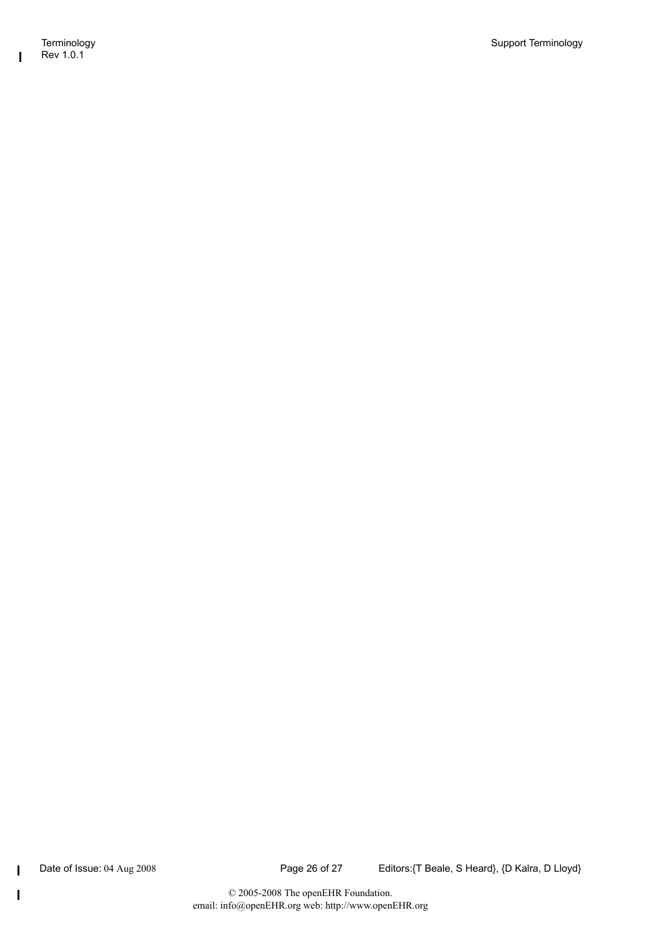Rev [1.0.1](#page-2-3)

 $\overline{\phantom{a}}$ 

 $\blacksquare$ 

 $\mathbf I$